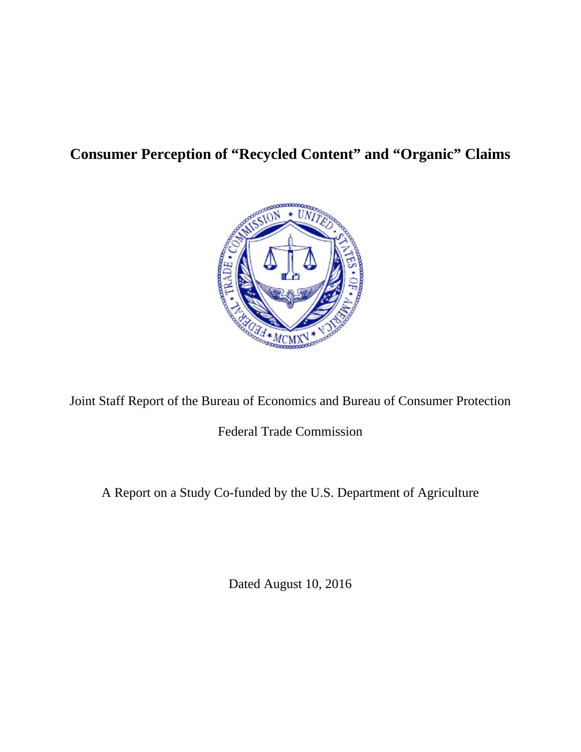# **Consumer Perception of "Recycled Content" and "Organic" Claims**



Joint Staff Report of the Bureau of Economics and Bureau of Consumer Protection

Federal Trade Commission

A Report on a Study Co-funded by the U.S. Department of Agriculture

Dated August 10, 2016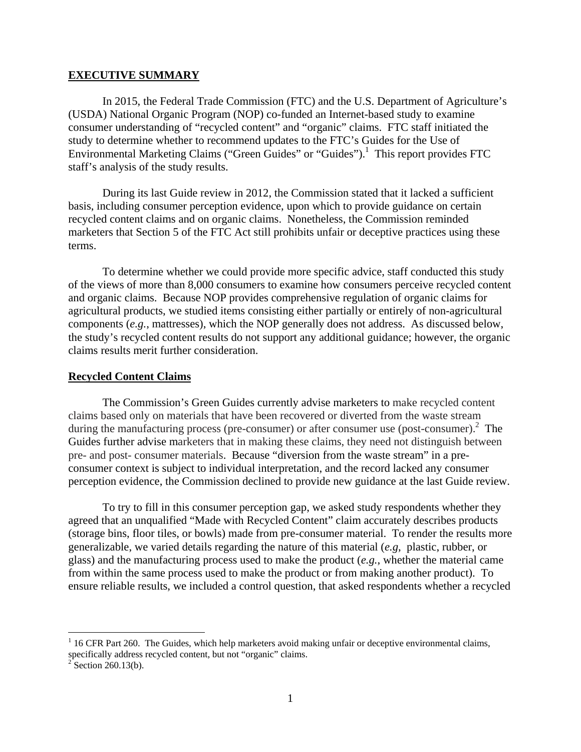#### **EXECUTIVE SUMMARY**

In 2015, the Federal Trade Commission (FTC) and the U.S. Department of Agriculture's (USDA) National Organic Program (NOP) co-funded an Internet-based study to examine consumer understanding of "recycled content" and "organic" claims. FTC staff initiated the study to determine whether to recommend updates to the FTC's Guides for the Use of Environmental Marketing Claims ("Green Guides" or "Guides").<sup>1</sup> This report provides FTC staff's analysis of the study results.

During its last Guide review in 2012, the Commission stated that it lacked a sufficient basis, including consumer perception evidence, upon which to provide guidance on certain recycled content claims and on organic claims. Nonetheless, the Commission reminded marketers that Section 5 of the FTC Act still prohibits unfair or deceptive practices using these terms.

To determine whether we could provide more specific advice, staff conducted this study of the views of more than 8,000 consumers to examine how consumers perceive recycled content and organic claims. Because NOP provides comprehensive regulation of organic claims for agricultural products, we studied items consisting either partially or entirely of non-agricultural components (*e.g.*, mattresses), which the NOP generally does not address. As discussed below, the study's recycled content results do not support any additional guidance; however, the organic claims results merit further consideration.

#### **Recycled Content Claims**

The Commission's Green Guides currently advise marketers to make recycled content claims based only on materials that have been recovered or diverted from the waste stream during the manufacturing process (pre-consumer) or after consumer use (post-consumer). $^{2}$  The Guides further advise marketers that in making these claims, they need not distinguish between pre- and post- consumer materials. Because "diversion from the waste stream" in a preconsumer context is subject to individual interpretation, and the record lacked any consumer perception evidence, the Commission declined to provide new guidance at the last Guide review.

To try to fill in this consumer perception gap, we asked study respondents whether they agreed that an unqualified "Made with Recycled Content" claim accurately describes products (storage bins, floor tiles, or bowls) made from pre-consumer material. To render the results more generalizable, we varied details regarding the nature of this material (*e.g*, plastic, rubber, or glass) and the manufacturing process used to make the product (*e.g.*, whether the material came from within the same process used to make the product or from making another product). To ensure reliable results, we included a control question, that asked respondents whether a recycled

 $1$  16 CFR Part 260. The Guides, which help marketers avoid making unfair or deceptive environmental claims, specifically address recycled content, but not "organic" claims.<br><sup>2</sup> Section 260.13(b).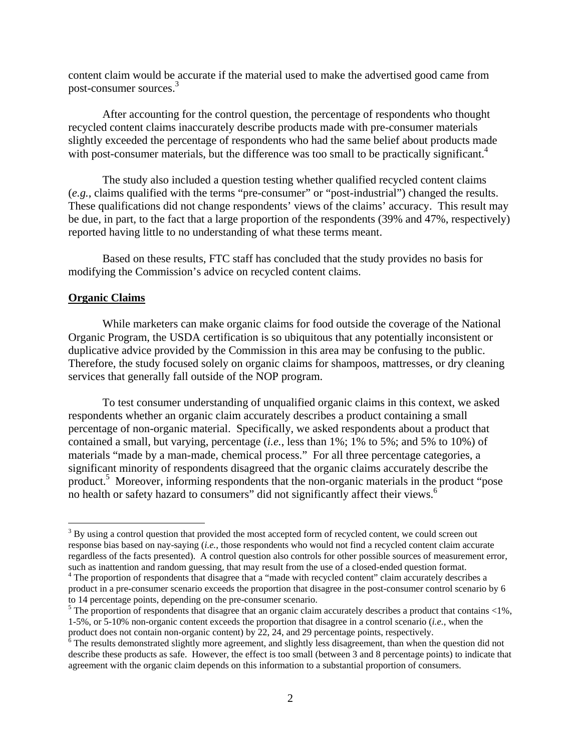content claim would be accurate if the material used to make the advertised good came from post-consumer sources.3

After accounting for the control question, the percentage of respondents who thought recycled content claims inaccurately describe products made with pre-consumer materials slightly exceeded the percentage of respondents who had the same belief about products made with post-consumer materials, but the difference was too small to be practically significant.<sup>4</sup>

The study also included a question testing whether qualified recycled content claims (*e.g.*, claims qualified with the terms "pre-consumer" or "post-industrial") changed the results. These qualifications did not change respondents' views of the claims' accuracy. This result may be due, in part, to the fact that a large proportion of the respondents (39% and 47%, respectively) reported having little to no understanding of what these terms meant.

 Based on these results, FTC staff has concluded that the study provides no basis for modifying the Commission's advice on recycled content claims.

#### **Organic Claims**

 $\overline{a}$ 

 While marketers can make organic claims for food outside the coverage of the National Organic Program, the USDA certification is so ubiquitous that any potentially inconsistent or duplicative advice provided by the Commission in this area may be confusing to the public. Therefore, the study focused solely on organic claims for shampoos, mattresses, or dry cleaning services that generally fall outside of the NOP program.

 To test consumer understanding of unqualified organic claims in this context, we asked respondents whether an organic claim accurately describes a product containing a small percentage of non-organic material. Specifically, we asked respondents about a product that contained a small, but varying, percentage (*i.e.*, less than 1%; 1% to 5%; and 5% to 10%) of materials "made by a man-made, chemical process." For all three percentage categories, a significant minority of respondents disagreed that the organic claims accurately describe the product.<sup>5</sup> Moreover, informing respondents that the non-organic materials in the product "pose no health or safety hazard to consumers" did not significantly affect their views.<sup>6</sup>

 $3$  By using a control question that provided the most accepted form of recycled content, we could screen out response bias based on nay-saying (*i.e.*, those respondents who would not find a recycled content claim accurate regardless of the facts presented). A control question also controls for other possible sources of measurement error, such as inattention and random guessing, that may result from the use of a closed-ended question format.

<sup>&</sup>lt;sup>4</sup> The proportion of respondents that disagree that a "made with recycled content" claim accurately describes a product in a pre-consumer scenario exceeds the proportion that disagree in the post-consumer control scenario by 6 to 14 percentage points, depending on the pre-consumer scenario.

 $5$  The proportion of respondents that disagree that an organic claim accurately describes a product that contains <1%, 1-5%, or 5-10% non-organic content exceeds the proportion that disagree in a control scenario (*i.e.*, when the product does not contain non-organic content) by 22, 24, and 29 percentage points, respectively.

 $\delta$  The results demonstrated slightly more agreement, and slightly less disagreement, than when the question did not describe these products as safe. However, the effect is too small (between 3 and 8 percentage points) to indicate that agreement with the organic claim depends on this information to a substantial proportion of consumers.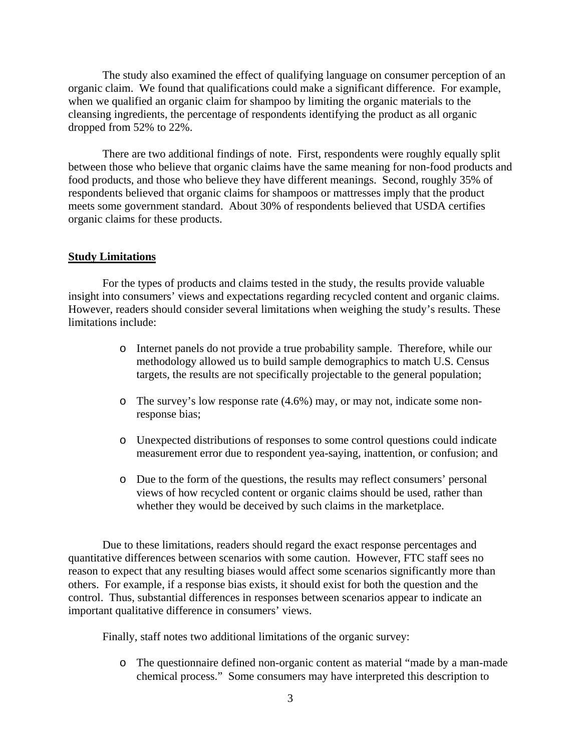The study also examined the effect of qualifying language on consumer perception of an organic claim. We found that qualifications could make a significant difference. For example, when we qualified an organic claim for shampoo by limiting the organic materials to the cleansing ingredients, the percentage of respondents identifying the product as all organic dropped from 52% to 22%.

There are two additional findings of note. First, respondents were roughly equally split between those who believe that organic claims have the same meaning for non-food products and food products, and those who believe they have different meanings. Second, roughly 35% of respondents believed that organic claims for shampoos or mattresses imply that the product meets some government standard. About 30% of respondents believed that USDA certifies organic claims for these products.

#### **Study Limitations**

For the types of products and claims tested in the study, the results provide valuable insight into consumers' views and expectations regarding recycled content and organic claims. However, readers should consider several limitations when weighing the study's results. These limitations include:

- o Internet panels do not provide a true probability sample. Therefore, while our methodology allowed us to build sample demographics to match U.S. Census targets, the results are not specifically projectable to the general population;
- o The survey's low response rate (4.6%) may, or may not, indicate some nonresponse bias;
- o Unexpected distributions of responses to some control questions could indicate measurement error due to respondent yea-saying, inattention, or confusion; and
- o Due to the form of the questions, the results may reflect consumers' personal views of how recycled content or organic claims should be used, rather than whether they would be deceived by such claims in the marketplace.

Due to these limitations, readers should regard the exact response percentages and quantitative differences between scenarios with some caution. However, FTC staff sees no reason to expect that any resulting biases would affect some scenarios significantly more than others. For example, if a response bias exists, it should exist for both the question and the control. Thus, substantial differences in responses between scenarios appear to indicate an important qualitative difference in consumers' views.

Finally, staff notes two additional limitations of the organic survey:

o The questionnaire defined non-organic content as material "made by a man-made chemical process." Some consumers may have interpreted this description to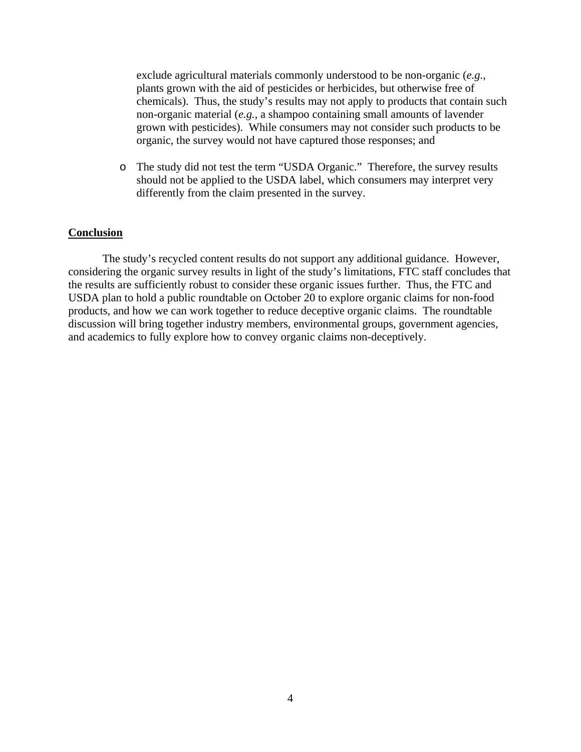exclude agricultural materials commonly understood to be non-organic (*e.g.*, plants grown with the aid of pesticides or herbicides, but otherwise free of chemicals). Thus, the study's results may not apply to products that contain such non-organic material (*e.g.*, a shampoo containing small amounts of lavender grown with pesticides). While consumers may not consider such products to be organic, the survey would not have captured those responses; and

o The study did not test the term "USDA Organic." Therefore, the survey results should not be applied to the USDA label, which consumers may interpret very differently from the claim presented in the survey.

#### **Conclusion**

The study's recycled content results do not support any additional guidance. However, considering the organic survey results in light of the study's limitations, FTC staff concludes that the results are sufficiently robust to consider these organic issues further. Thus, the FTC and USDA plan to hold a public roundtable on October 20 to explore organic claims for non-food products, and how we can work together to reduce deceptive organic claims. The roundtable discussion will bring together industry members, environmental groups, government agencies, and academics to fully explore how to convey organic claims non-deceptively.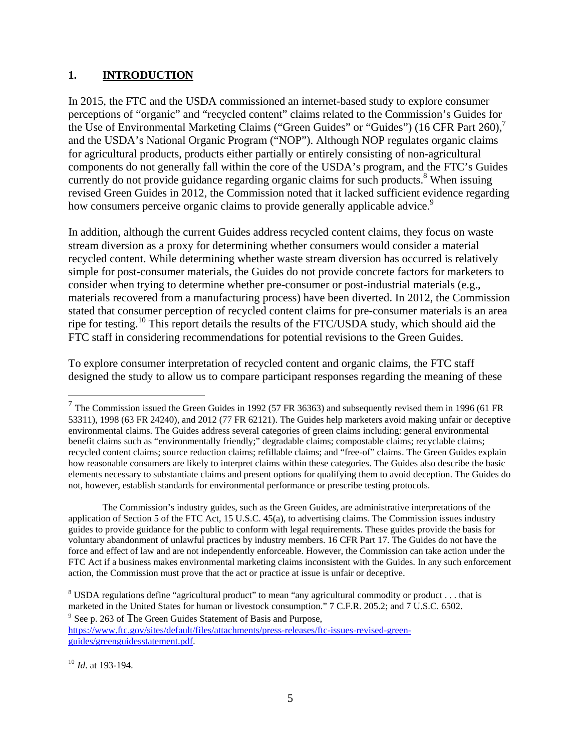# **1. INTRODUCTION**

In 2015, the FTC and the USDA commissioned an internet-based study to explore consumer perceptions of "organic" and "recycled content" claims related to the Commission's Guides for the Use of Environmental Marketing Claims ("Green Guides" or "Guides") (16 CFR Part  $260$ ), and the USDA's National Organic Program ("NOP"). Although NOP regulates organic claims for agricultural products, products either partially or entirely consisting of non-agricultural components do not generally fall within the core of the USDA's program, and the FTC's Guides currently do not provide guidance regarding organic claims for such products.<sup>8</sup> When issuing revised Green Guides in 2012, the Commission noted that it lacked sufficient evidence regarding how consumers perceive organic claims to provide generally applicable advice.<sup>9</sup>

In addition, although the current Guides address recycled content claims, they focus on waste stream diversion as a proxy for determining whether consumers would consider a material recycled content. While determining whether waste stream diversion has occurred is relatively simple for post-consumer materials, the Guides do not provide concrete factors for marketers to consider when trying to determine whether pre-consumer or post-industrial materials (e.g., materials recovered from a manufacturing process) have been diverted. In 2012, the Commission stated that consumer perception of recycled content claims for pre-consumer materials is an area ripe for testing.<sup>10</sup> This report details the results of the FTC/USDA study, which should aid the FTC staff in considering recommendations for potential revisions to the Green Guides.

To explore consumer interpretation of recycled content and organic claims, the FTC staff designed the study to allow us to compare participant responses regarding the meaning of these

The Commission's industry guides, such as the Green Guides, are administrative interpretations of the application of Section 5 of the FTC Act, 15 U.S.C. 45(a), to advertising claims. The Commission issues industry guides to provide guidance for the public to conform with legal requirements. These guides provide the basis for voluntary abandonment of unlawful practices by industry members. 16 CFR Part 17. The Guides do not have the force and effect of law and are not independently enforceable. However, the Commission can take action under the FTC Act if a business makes environmental marketing claims inconsistent with the Guides. In any such enforcement action, the Commission must prove that the act or practice at issue is unfair or deceptive.

<sup>9</sup> See p. 263 of The Green Guides Statement of Basis and Purpose,

https://www.ftc.gov/sites/default/files/attachments/press-releases/ftc-issues-revised-greenguides/greenguidesstatement.pdf.

 $<sup>7</sup>$  The Commission issued the Green Guides in 1992 (57 FR 36363) and subsequently revised them in 1996 (61 FR</sup> 53311), 1998 (63 FR 24240), and 2012 (77 FR 62121). The Guides help marketers avoid making unfair or deceptive environmental claims. The Guides address several categories of green claims including: general environmental benefit claims such as "environmentally friendly;" degradable claims; compostable claims; recyclable claims; recycled content claims; source reduction claims; refillable claims; and "free-of" claims. The Green Guides explain how reasonable consumers are likely to interpret claims within these categories. The Guides also describe the basic elements necessary to substantiate claims and present options for qualifying them to avoid deception. The Guides do not, however, establish standards for environmental performance or prescribe testing protocols.

 $8$  USDA regulations define "agricultural product" to mean "any agricultural commodity or product ... that is marketed in the United States for human or livestock consumption." 7 C.F.R. 205.2; and 7 U.S.C. 6502.

<sup>10</sup> *Id*. at 193-194.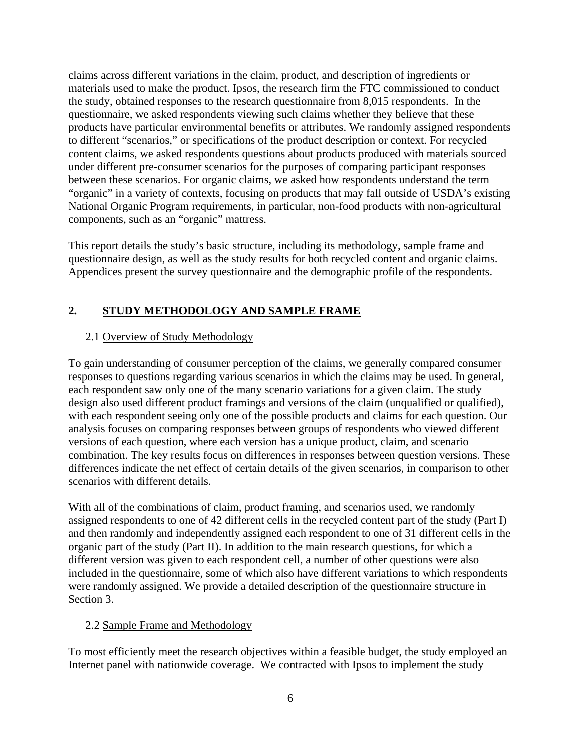claims across different variations in the claim, product, and description of ingredients or materials used to make the product. Ipsos, the research firm the FTC commissioned to conduct the study, obtained responses to the research questionnaire from 8,015 respondents. In the questionnaire, we asked respondents viewing such claims whether they believe that these products have particular environmental benefits or attributes. We randomly assigned respondents to different "scenarios," or specifications of the product description or context. For recycled content claims, we asked respondents questions about products produced with materials sourced under different pre-consumer scenarios for the purposes of comparing participant responses between these scenarios. For organic claims, we asked how respondents understand the term "organic" in a variety of contexts, focusing on products that may fall outside of USDA's existing National Organic Program requirements, in particular, non-food products with non-agricultural components, such as an "organic" mattress.

This report details the study's basic structure, including its methodology, sample frame and questionnaire design, as well as the study results for both recycled content and organic claims. Appendices present the survey questionnaire and the demographic profile of the respondents.

# **2. STUDY METHODOLOGY AND SAMPLE FRAME**

# 2.1 Overview of Study Methodology

To gain understanding of consumer perception of the claims, we generally compared consumer responses to questions regarding various scenarios in which the claims may be used. In general, each respondent saw only one of the many scenario variations for a given claim. The study design also used different product framings and versions of the claim (unqualified or qualified), with each respondent seeing only one of the possible products and claims for each question. Our analysis focuses on comparing responses between groups of respondents who viewed different versions of each question, where each version has a unique product, claim, and scenario combination. The key results focus on differences in responses between question versions. These differences indicate the net effect of certain details of the given scenarios, in comparison to other scenarios with different details.

With all of the combinations of claim, product framing, and scenarios used, we randomly assigned respondents to one of 42 different cells in the recycled content part of the study (Part I) and then randomly and independently assigned each respondent to one of 31 different cells in the organic part of the study (Part II). In addition to the main research questions, for which a different version was given to each respondent cell, a number of other questions were also included in the questionnaire, some of which also have different variations to which respondents were randomly assigned. We provide a detailed description of the questionnaire structure in Section 3.

## 2.2 Sample Frame and Methodology

To most efficiently meet the research objectives within a feasible budget, the study employed an Internet panel with nationwide coverage. We contracted with Ipsos to implement the study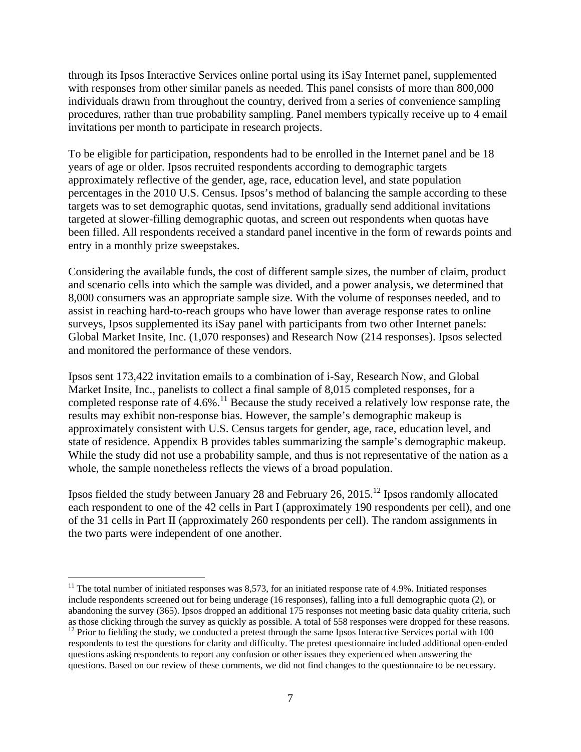through its Ipsos Interactive Services online portal using its iSay Internet panel, supplemented with responses from other similar panels as needed. This panel consists of more than 800,000 individuals drawn from throughout the country, derived from a series of convenience sampling procedures, rather than true probability sampling. Panel members typically receive up to 4 email invitations per month to participate in research projects.

To be eligible for participation, respondents had to be enrolled in the Internet panel and be 18 years of age or older. Ipsos recruited respondents according to demographic targets approximately reflective of the gender, age, race, education level, and state population percentages in the 2010 U.S. Census. Ipsos's method of balancing the sample according to these targets was to set demographic quotas, send invitations, gradually send additional invitations targeted at slower-filling demographic quotas, and screen out respondents when quotas have been filled. All respondents received a standard panel incentive in the form of rewards points and entry in a monthly prize sweepstakes.

Considering the available funds, the cost of different sample sizes, the number of claim, product and scenario cells into which the sample was divided, and a power analysis, we determined that 8,000 consumers was an appropriate sample size. With the volume of responses needed, and to assist in reaching hard-to-reach groups who have lower than average response rates to online surveys, Ipsos supplemented its iSay panel with participants from two other Internet panels: Global Market Insite, Inc. (1,070 responses) and Research Now (214 responses). Ipsos selected and monitored the performance of these vendors.

Ipsos sent 173,422 invitation emails to a combination of i-Say, Research Now, and Global Market Insite, Inc., panelists to collect a final sample of 8,015 completed responses, for a completed response rate of 4.6%.<sup>11</sup> Because the study received a relatively low response rate, the results may exhibit non-response bias. However, the sample's demographic makeup is approximately consistent with U.S. Census targets for gender, age, race, education level, and state of residence. Appendix B provides tables summarizing the sample's demographic makeup. While the study did not use a probability sample, and thus is not representative of the nation as a whole, the sample nonetheless reflects the views of a broad population.

Ipsos fielded the study between January 28 and February 26, 2015.12 Ipsos randomly allocated each respondent to one of the 42 cells in Part I (approximately 190 respondents per cell), and one of the 31 cells in Part II (approximately 260 respondents per cell). The random assignments in the two parts were independent of one another.

 $11$  The total number of initiated responses was 8,573, for an initiated response rate of 4.9%. Initiated responses include respondents screened out for being underage (16 responses), falling into a full demographic quota (2), or abandoning the survey (365). Ipsos dropped an additional 175 responses not meeting basic data quality criteria, such as those clicking through the survey as quickly as possible. A total of 558 responses were dropped for th

<sup>&</sup>lt;sup>12</sup> Prior to fielding the study, we conducted a pretest through the same Ipsos Interactive Services portal with 100 respondents to test the questions for clarity and difficulty. The pretest questionnaire included additional open-ended questions asking respondents to report any confusion or other issues they experienced when answering the questions. Based on our review of these comments, we did not find changes to the questionnaire to be necessary.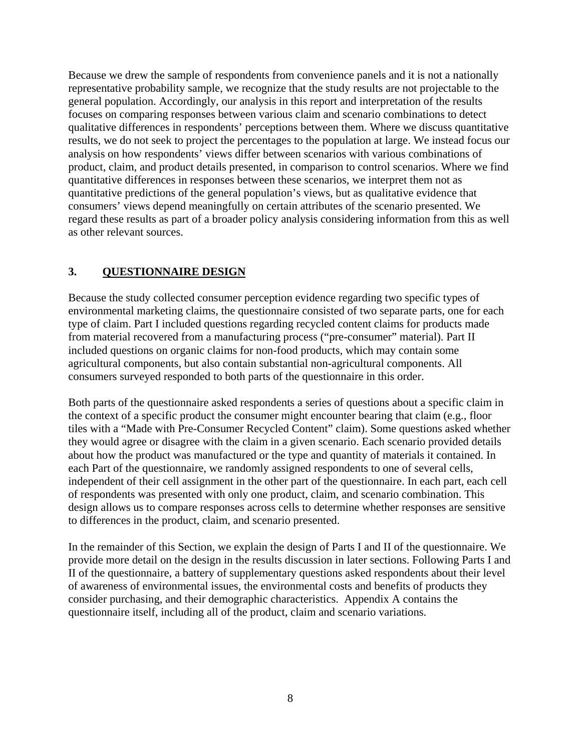Because we drew the sample of respondents from convenience panels and it is not a nationally representative probability sample, we recognize that the study results are not projectable to the general population. Accordingly, our analysis in this report and interpretation of the results focuses on comparing responses between various claim and scenario combinations to detect qualitative differences in respondents' perceptions between them. Where we discuss quantitative results, we do not seek to project the percentages to the population at large. We instead focus our analysis on how respondents' views differ between scenarios with various combinations of product, claim, and product details presented, in comparison to control scenarios. Where we find quantitative differences in responses between these scenarios, we interpret them not as quantitative predictions of the general population's views, but as qualitative evidence that consumers' views depend meaningfully on certain attributes of the scenario presented. We regard these results as part of a broader policy analysis considering information from this as well as other relevant sources.

# **3. QUESTIONNAIRE DESIGN**

Because the study collected consumer perception evidence regarding two specific types of environmental marketing claims, the questionnaire consisted of two separate parts, one for each type of claim. Part I included questions regarding recycled content claims for products made from material recovered from a manufacturing process ("pre-consumer" material). Part II included questions on organic claims for non-food products, which may contain some agricultural components, but also contain substantial non-agricultural components. All consumers surveyed responded to both parts of the questionnaire in this order.

Both parts of the questionnaire asked respondents a series of questions about a specific claim in the context of a specific product the consumer might encounter bearing that claim (e.g., floor tiles with a "Made with Pre-Consumer Recycled Content" claim). Some questions asked whether they would agree or disagree with the claim in a given scenario. Each scenario provided details about how the product was manufactured or the type and quantity of materials it contained. In each Part of the questionnaire, we randomly assigned respondents to one of several cells, independent of their cell assignment in the other part of the questionnaire. In each part, each cell of respondents was presented with only one product, claim, and scenario combination. This design allows us to compare responses across cells to determine whether responses are sensitive to differences in the product, claim, and scenario presented.

In the remainder of this Section, we explain the design of Parts I and II of the questionnaire. We provide more detail on the design in the results discussion in later sections. Following Parts I and II of the questionnaire, a battery of supplementary questions asked respondents about their level of awareness of environmental issues, the environmental costs and benefits of products they consider purchasing, and their demographic characteristics. Appendix A contains the questionnaire itself, including all of the product, claim and scenario variations.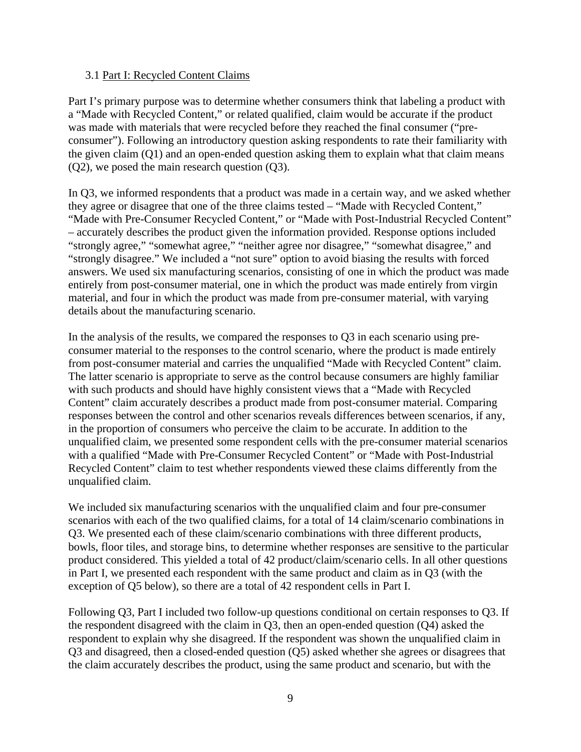#### 3.1 Part I: Recycled Content Claims

Part I's primary purpose was to determine whether consumers think that labeling a product with a "Made with Recycled Content," or related qualified, claim would be accurate if the product was made with materials that were recycled before they reached the final consumer ("preconsumer"). Following an introductory question asking respondents to rate their familiarity with the given claim (Q1) and an open-ended question asking them to explain what that claim means (Q2), we posed the main research question (Q3).

In Q3, we informed respondents that a product was made in a certain way, and we asked whether they agree or disagree that one of the three claims tested – "Made with Recycled Content," "Made with Pre-Consumer Recycled Content," or "Made with Post-Industrial Recycled Content" – accurately describes the product given the information provided. Response options included "strongly agree," "somewhat agree," "neither agree nor disagree," "somewhat disagree," and "strongly disagree." We included a "not sure" option to avoid biasing the results with forced answers. We used six manufacturing scenarios, consisting of one in which the product was made entirely from post-consumer material, one in which the product was made entirely from virgin material, and four in which the product was made from pre-consumer material, with varying details about the manufacturing scenario.

In the analysis of the results, we compared the responses to Q3 in each scenario using preconsumer material to the responses to the control scenario, where the product is made entirely from post-consumer material and carries the unqualified "Made with Recycled Content" claim. The latter scenario is appropriate to serve as the control because consumers are highly familiar with such products and should have highly consistent views that a "Made with Recycled Content" claim accurately describes a product made from post-consumer material. Comparing responses between the control and other scenarios reveals differences between scenarios, if any, in the proportion of consumers who perceive the claim to be accurate. In addition to the unqualified claim, we presented some respondent cells with the pre-consumer material scenarios with a qualified "Made with Pre-Consumer Recycled Content" or "Made with Post-Industrial Recycled Content" claim to test whether respondents viewed these claims differently from the unqualified claim.

We included six manufacturing scenarios with the unqualified claim and four pre-consumer scenarios with each of the two qualified claims, for a total of 14 claim/scenario combinations in Q3. We presented each of these claim/scenario combinations with three different products, bowls, floor tiles, and storage bins, to determine whether responses are sensitive to the particular product considered. This yielded a total of 42 product/claim/scenario cells. In all other questions in Part I, we presented each respondent with the same product and claim as in Q3 (with the exception of Q5 below), so there are a total of 42 respondent cells in Part I.

Following Q3, Part I included two follow-up questions conditional on certain responses to Q3. If the respondent disagreed with the claim in Q3, then an open-ended question (Q4) asked the respondent to explain why she disagreed. If the respondent was shown the unqualified claim in Q3 and disagreed, then a closed-ended question (Q5) asked whether she agrees or disagrees that the claim accurately describes the product, using the same product and scenario, but with the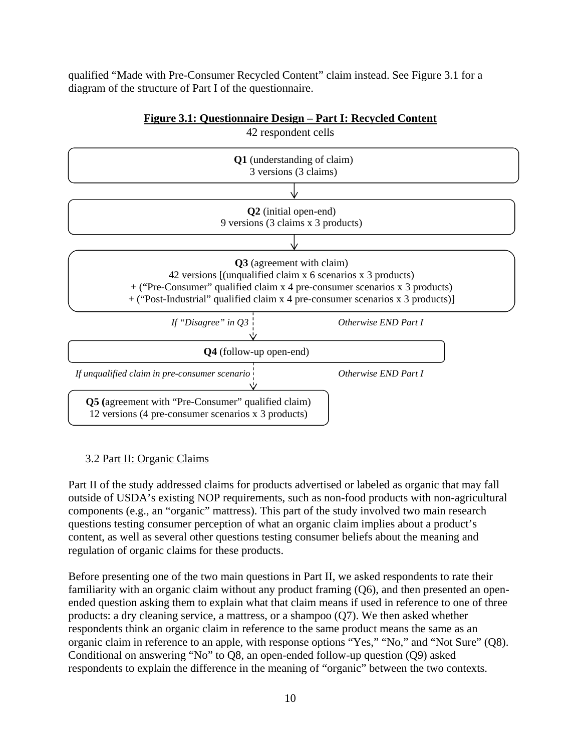qualified "Made with Pre-Consumer Recycled Content" claim instead. See Figure 3.1 for a diagram of the structure of Part I of the questionnaire.



### **Figure 3.1: Questionnaire Design – Part I: Recycled Content**

#### 3.2 Part II: Organic Claims

Part II of the study addressed claims for products advertised or labeled as organic that may fall outside of USDA's existing NOP requirements, such as non-food products with non-agricultural components (e.g., an "organic" mattress). This part of the study involved two main research questions testing consumer perception of what an organic claim implies about a product's content, as well as several other questions testing consumer beliefs about the meaning and regulation of organic claims for these products.

Before presenting one of the two main questions in Part II, we asked respondents to rate their familiarity with an organic claim without any product framing (Q6), and then presented an openended question asking them to explain what that claim means if used in reference to one of three products: a dry cleaning service, a mattress, or a shampoo (Q7). We then asked whether respondents think an organic claim in reference to the same product means the same as an organic claim in reference to an apple, with response options "Yes," "No," and "Not Sure" (Q8). Conditional on answering "No" to Q8, an open-ended follow-up question (Q9) asked respondents to explain the difference in the meaning of "organic" between the two contexts.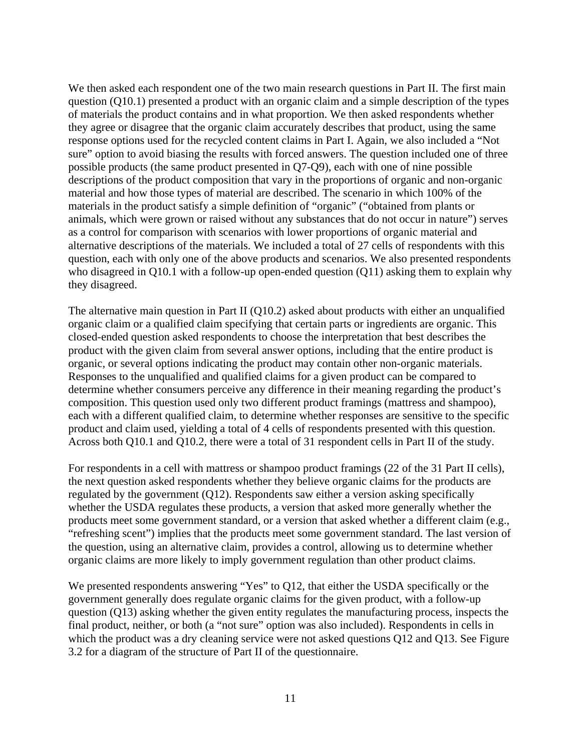We then asked each respondent one of the two main research questions in Part II. The first main question (Q10.1) presented a product with an organic claim and a simple description of the types of materials the product contains and in what proportion. We then asked respondents whether they agree or disagree that the organic claim accurately describes that product, using the same response options used for the recycled content claims in Part I. Again, we also included a "Not sure" option to avoid biasing the results with forced answers. The question included one of three possible products (the same product presented in Q7-Q9), each with one of nine possible descriptions of the product composition that vary in the proportions of organic and non-organic material and how those types of material are described. The scenario in which 100% of the materials in the product satisfy a simple definition of "organic" ("obtained from plants or animals, which were grown or raised without any substances that do not occur in nature") serves as a control for comparison with scenarios with lower proportions of organic material and alternative descriptions of the materials. We included a total of 27 cells of respondents with this question, each with only one of the above products and scenarios. We also presented respondents who disagreed in Q10.1 with a follow-up open-ended question (Q11) asking them to explain why they disagreed.

The alternative main question in Part II (Q10.2) asked about products with either an unqualified organic claim or a qualified claim specifying that certain parts or ingredients are organic. This closed-ended question asked respondents to choose the interpretation that best describes the product with the given claim from several answer options, including that the entire product is organic, or several options indicating the product may contain other non-organic materials. Responses to the unqualified and qualified claims for a given product can be compared to determine whether consumers perceive any difference in their meaning regarding the product's composition. This question used only two different product framings (mattress and shampoo), each with a different qualified claim, to determine whether responses are sensitive to the specific product and claim used, yielding a total of 4 cells of respondents presented with this question. Across both Q10.1 and Q10.2, there were a total of 31 respondent cells in Part II of the study.

For respondents in a cell with mattress or shampoo product framings (22 of the 31 Part II cells), the next question asked respondents whether they believe organic claims for the products are regulated by the government (Q12). Respondents saw either a version asking specifically whether the USDA regulates these products, a version that asked more generally whether the products meet some government standard, or a version that asked whether a different claim (e.g., "refreshing scent") implies that the products meet some government standard. The last version of the question, using an alternative claim, provides a control, allowing us to determine whether organic claims are more likely to imply government regulation than other product claims.

We presented respondents answering "Yes" to Q12, that either the USDA specifically or the government generally does regulate organic claims for the given product, with a follow-up question (Q13) asking whether the given entity regulates the manufacturing process, inspects the final product, neither, or both (a "not sure" option was also included). Respondents in cells in which the product was a dry cleaning service were not asked questions Q12 and Q13. See Figure 3.2 for a diagram of the structure of Part II of the questionnaire.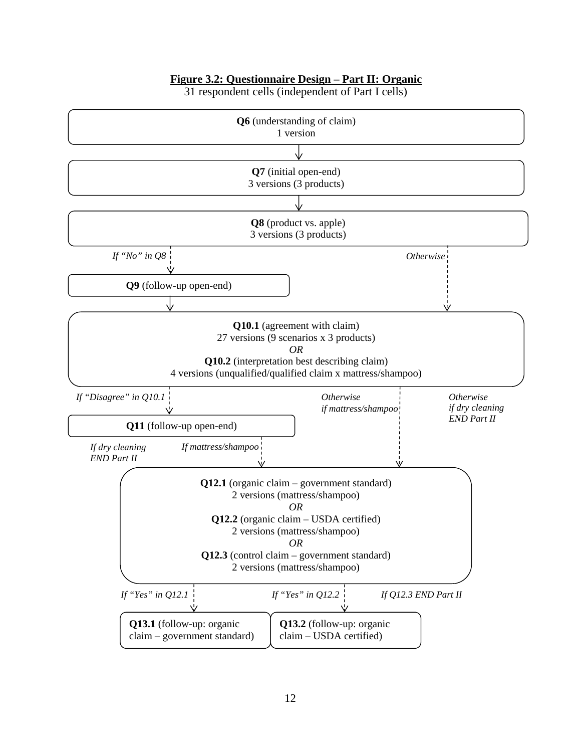### **Figure 3.2: Questionnaire Design – Part II: Organic**



31 respondent cells (independent of Part I cells)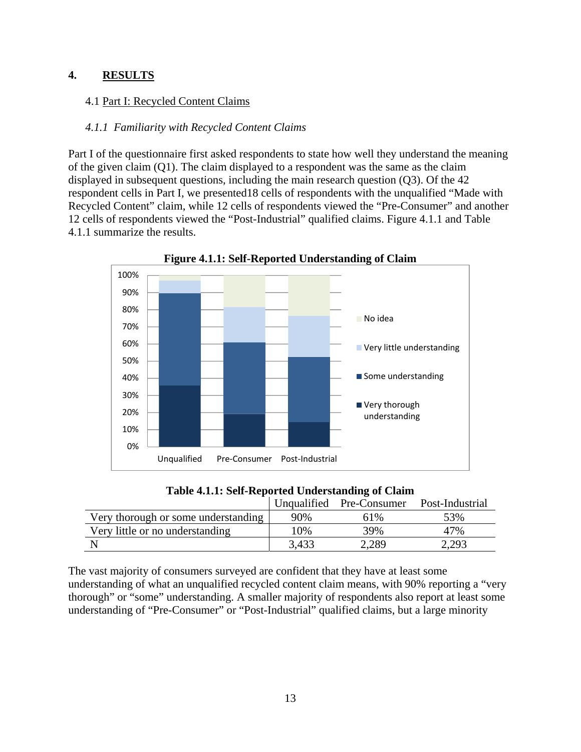### **4. RESULTS**

### 4.1 Part I: Recycled Content Claims

### *4.1.1 Familiarity with Recycled Content Claims*

Part I of the questionnaire first asked respondents to state how well they understand the meaning of the given claim (Q1). The claim displayed to a respondent was the same as the claim displayed in subsequent questions, including the main research question (Q3). Of the 42 respondent cells in Part I, we presented18 cells of respondents with the unqualified "Made with Recycled Content" claim, while 12 cells of respondents viewed the "Pre-Consumer" and another 12 cells of respondents viewed the "Post-Industrial" qualified claims. Figure 4.1.1 and Table 4.1.1 summarize the results.



**Figure 4.1.1: Self-Reported Understanding of Claim** 

**Table 4.1.1: Self-Reported Understanding of Claim** 

|                                     |       | Unqualified Pre-Consumer | Post-Industrial |
|-------------------------------------|-------|--------------------------|-----------------|
| Very thorough or some understanding | 90%   | 61%                      | 53%             |
| Very little or no understanding     | 10%   | 39%                      | 47%             |
|                                     | 3,433 | 2.289                    | 2,293           |

The vast majority of consumers surveyed are confident that they have at least some understanding of what an unqualified recycled content claim means, with 90% reporting a "very thorough" or "some" understanding. A smaller majority of respondents also report at least some understanding of "Pre-Consumer" or "Post-Industrial" qualified claims, but a large minority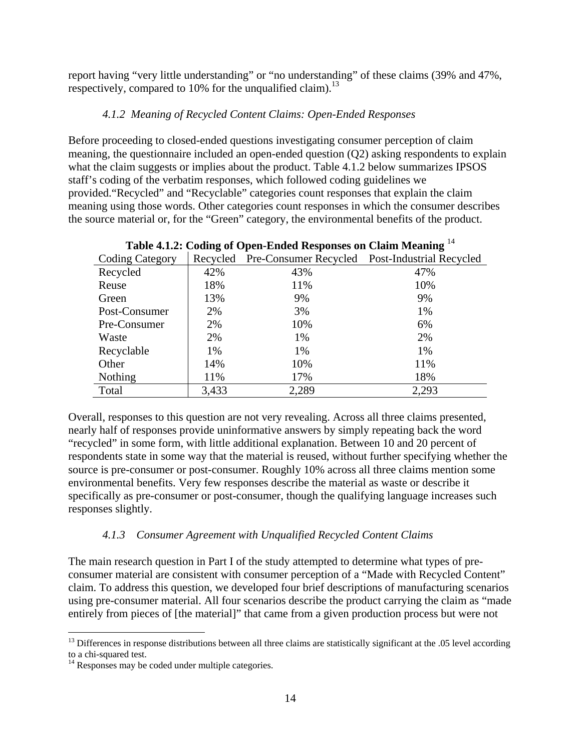report having "very little understanding" or "no understanding" of these claims (39% and 47%, respectively, compared to 10% for the unqualified claim).<sup>13</sup>

# *4.1.2 Meaning of Recycled Content Claims: Open-Ended Responses*

Before proceeding to closed-ended questions investigating consumer perception of claim meaning, the questionnaire included an open-ended question (Q2) asking respondents to explain what the claim suggests or implies about the product. Table 4.1.2 below summarizes IPSOS staff's coding of the verbatim responses, which followed coding guidelines we provided."Recycled" and "Recyclable" categories count responses that explain the claim meaning using those words. Other categories count responses in which the consumer describes the source material or, for the "Green" category, the environmental benefits of the product.

| Table 4.1.2. Counig of Open-Ended Responses on Claim Meaning |       |                                                         |       |  |  |  |  |  |
|--------------------------------------------------------------|-------|---------------------------------------------------------|-------|--|--|--|--|--|
| <b>Coding Category</b>                                       |       | Recycled Pre-Consumer Recycled Post-Industrial Recycled |       |  |  |  |  |  |
| Recycled                                                     | 42%   | 43%                                                     | 47%   |  |  |  |  |  |
| Reuse                                                        | 18%   | 11%                                                     | 10%   |  |  |  |  |  |
| Green                                                        | 13%   | 9%                                                      | 9%    |  |  |  |  |  |
| Post-Consumer                                                | 2%    | 3%                                                      | 1%    |  |  |  |  |  |
| Pre-Consumer                                                 | 2%    | 10%                                                     | 6%    |  |  |  |  |  |
| Waste                                                        | 2%    | 1%                                                      | 2%    |  |  |  |  |  |
| Recyclable                                                   | 1%    | 1%                                                      | 1%    |  |  |  |  |  |
| Other                                                        | 14%   | 10%                                                     | 11%   |  |  |  |  |  |
| Nothing                                                      | 11%   | 17%                                                     | 18%   |  |  |  |  |  |
| Total                                                        | 3,433 | 2,289                                                   | 2,293 |  |  |  |  |  |

| Table 4.1.2: Coding of Open-Ended Responses on Claim Meaning <sup>14</sup> |  |
|----------------------------------------------------------------------------|--|
|----------------------------------------------------------------------------|--|

Overall, responses to this question are not very revealing. Across all three claims presented, nearly half of responses provide uninformative answers by simply repeating back the word "recycled" in some form, with little additional explanation. Between 10 and 20 percent of respondents state in some way that the material is reused, without further specifying whether the source is pre-consumer or post-consumer. Roughly 10% across all three claims mention some environmental benefits. Very few responses describe the material as waste or describe it specifically as pre-consumer or post-consumer, though the qualifying language increases such responses slightly.

## *4.1.3 Consumer Agreement with Unqualified Recycled Content Claims*

The main research question in Part I of the study attempted to determine what types of preconsumer material are consistent with consumer perception of a "Made with Recycled Content" claim. To address this question, we developed four brief descriptions of manufacturing scenarios using pre-consumer material. All four scenarios describe the product carrying the claim as "made entirely from pieces of [the material]" that came from a given production process but were not

 $^{13}$  Differences in response distributions between all three claims are statistically significant at the .05 level according to a chi-squared test.

 $14$  Responses may be coded under multiple categories.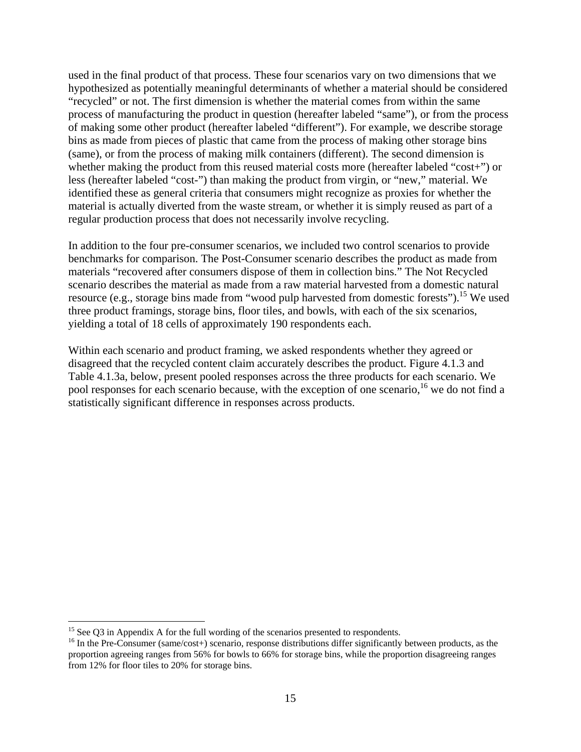used in the final product of that process. These four scenarios vary on two dimensions that we hypothesized as potentially meaningful determinants of whether a material should be considered "recycled" or not. The first dimension is whether the material comes from within the same process of manufacturing the product in question (hereafter labeled "same"), or from the process of making some other product (hereafter labeled "different"). For example, we describe storage bins as made from pieces of plastic that came from the process of making other storage bins (same), or from the process of making milk containers (different). The second dimension is whether making the product from this reused material costs more (hereafter labeled "cost+") or less (hereafter labeled "cost-") than making the product from virgin, or "new," material. We identified these as general criteria that consumers might recognize as proxies for whether the material is actually diverted from the waste stream, or whether it is simply reused as part of a regular production process that does not necessarily involve recycling.

In addition to the four pre-consumer scenarios, we included two control scenarios to provide benchmarks for comparison. The Post-Consumer scenario describes the product as made from materials "recovered after consumers dispose of them in collection bins." The Not Recycled scenario describes the material as made from a raw material harvested from a domestic natural resource (e.g., storage bins made from "wood pulp harvested from domestic forests").<sup>15</sup> We used three product framings, storage bins, floor tiles, and bowls, with each of the six scenarios, yielding a total of 18 cells of approximately 190 respondents each.

Within each scenario and product framing, we asked respondents whether they agreed or disagreed that the recycled content claim accurately describes the product. Figure 4.1.3 and Table 4.1.3a, below, present pooled responses across the three products for each scenario. We pool responses for each scenario because, with the exception of one scenario, <sup>16</sup> we do not find a statistically significant difference in responses across products.

 $15$  See Q3 in Appendix A for the full wording of the scenarios presented to respondents.

<sup>&</sup>lt;sup>16</sup> In the Pre-Consumer (same/cost+) scenario, response distributions differ significantly between products, as the proportion agreeing ranges from 56% for bowls to 66% for storage bins, while the proportion disagreeing ranges from 12% for floor tiles to 20% for storage bins.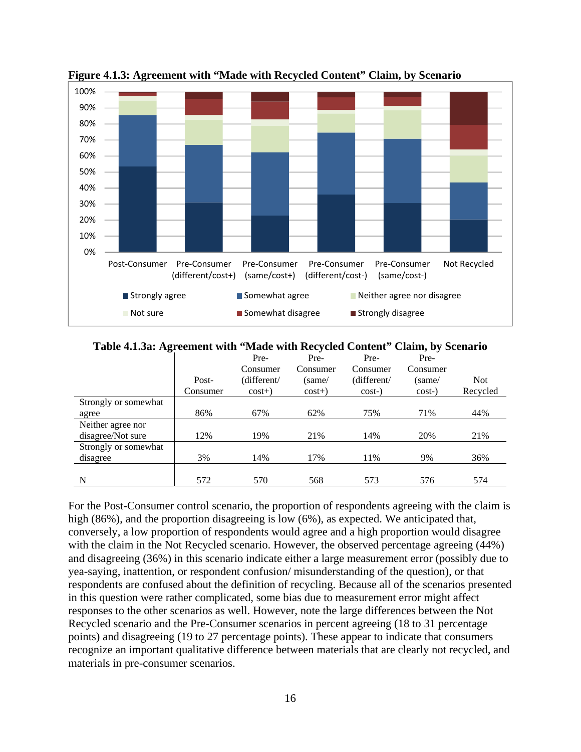

**Figure 4.1.3: Agreement with "Made with Recycled Content" Claim, by Scenario** 

**Table 4.1.3a: Agreement with "Made with Recycled Content" Claim, by Scenario** 

|                      |          | Pre-        | Pre-     | Pre-        | Pre-     |            |
|----------------------|----------|-------------|----------|-------------|----------|------------|
|                      |          | Consumer    | Consumer | Consumer    | Consumer |            |
|                      | Post-    | (different/ | (same/   | (different/ | (same/   | <b>Not</b> |
|                      | Consumer | $cost+)$    | $cost+)$ | $cost-)$    | $cost-)$ | Recycled   |
| Strongly or somewhat |          |             |          |             |          |            |
| agree                | 86%      | 67%         | 62%      | 75%         | 71%      | 44%        |
| Neither agree nor    |          |             |          |             |          |            |
| disagree/Not sure    | 12%      | 19%         | 21%      | 14%         | 20%      | 21%        |
| Strongly or somewhat |          |             |          |             |          |            |
| disagree             | 3%       | 14%         | 17%      | 11%         | 9%       | 36%        |
|                      |          |             |          |             |          |            |
| N                    | 572      | 570         | 568      | 573         | 576      | 574        |

For the Post-Consumer control scenario, the proportion of respondents agreeing with the claim is high (86%), and the proportion disagreeing is low (6%), as expected. We anticipated that, conversely, a low proportion of respondents would agree and a high proportion would disagree with the claim in the Not Recycled scenario. However, the observed percentage agreeing (44%) and disagreeing (36%) in this scenario indicate either a large measurement error (possibly due to yea-saying, inattention, or respondent confusion/ misunderstanding of the question), or that respondents are confused about the definition of recycling. Because all of the scenarios presented in this question were rather complicated, some bias due to measurement error might affect responses to the other scenarios as well. However, note the large differences between the Not Recycled scenario and the Pre-Consumer scenarios in percent agreeing (18 to 31 percentage points) and disagreeing (19 to 27 percentage points). These appear to indicate that consumers recognize an important qualitative difference between materials that are clearly not recycled, and materials in pre-consumer scenarios.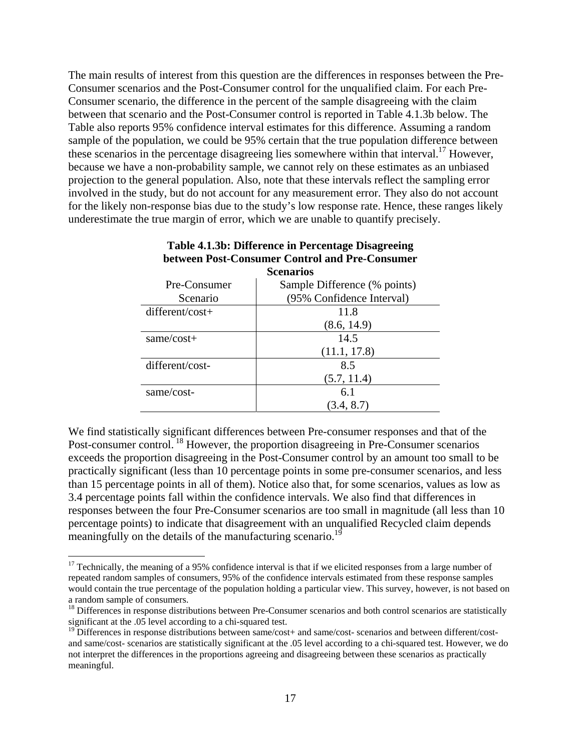The main results of interest from this question are the differences in responses between the Pre-Consumer scenarios and the Post-Consumer control for the unqualified claim. For each Pre-Consumer scenario, the difference in the percent of the sample disagreeing with the claim between that scenario and the Post-Consumer control is reported in Table 4.1.3b below. The Table also reports 95% confidence interval estimates for this difference. Assuming a random sample of the population, we could be 95% certain that the true population difference between these scenarios in the percentage disagreeing lies somewhere within that interval.<sup>17</sup> However, because we have a non-probability sample, we cannot rely on these estimates as an unbiased projection to the general population. Also, note that these intervals reflect the sampling error involved in the study, but do not account for any measurement error. They also do not account for the likely non-response bias due to the study's low response rate. Hence, these ranges likely underestimate the true margin of error, which we are unable to quantify precisely.

|                   | <b>Scenarios</b>             |
|-------------------|------------------------------|
| Pre-Consumer      | Sample Difference (% points) |
| Scenario          | (95% Confidence Interval)    |
| $different/cost+$ | 11.8                         |
|                   | (8.6, 14.9)                  |
| same/cost+        | 14.5                         |
|                   | (11.1, 17.8)                 |
| different/cost-   | 8.5                          |
|                   | (5.7, 11.4)                  |
| same/cost-        | 6.1                          |
|                   | (3.4, 8.7)                   |

# **Table 4.1.3b: Difference in Percentage Disagreeing between Post-Consumer Control and Pre-Consumer**

We find statistically significant differences between Pre-consumer responses and that of the Post-consumer control. 18 However, the proportion disagreeing in Pre-Consumer scenarios exceeds the proportion disagreeing in the Post-Consumer control by an amount too small to be practically significant (less than 10 percentage points in some pre-consumer scenarios, and less than 15 percentage points in all of them). Notice also that, for some scenarios, values as low as 3.4 percentage points fall within the confidence intervals. We also find that differences in responses between the four Pre-Consumer scenarios are too small in magnitude (all less than 10 percentage points) to indicate that disagreement with an unqualified Recycled claim depends meaningfully on the details of the manufacturing scenario.<sup>19</sup>

 $17$  Technically, the meaning of a 95% confidence interval is that if we elicited responses from a large number of repeated random samples of consumers, 95% of the confidence intervals estimated from these response samples would contain the true percentage of the population holding a particular view. This survey, however, is not based on a random sample of consumers.

<sup>&</sup>lt;sup>18</sup> Differences in response distributions between Pre-Consumer scenarios and both control scenarios are statistically significant at the .05 level according to a chi-squared test.

<sup>&</sup>lt;sup>19</sup> Differences in response distributions between same/cost+ and same/cost- scenarios and between different/costand same/cost- scenarios are statistically significant at the .05 level according to a chi-squared test. However, we do not interpret the differences in the proportions agreeing and disagreeing between these scenarios as practically meaningful.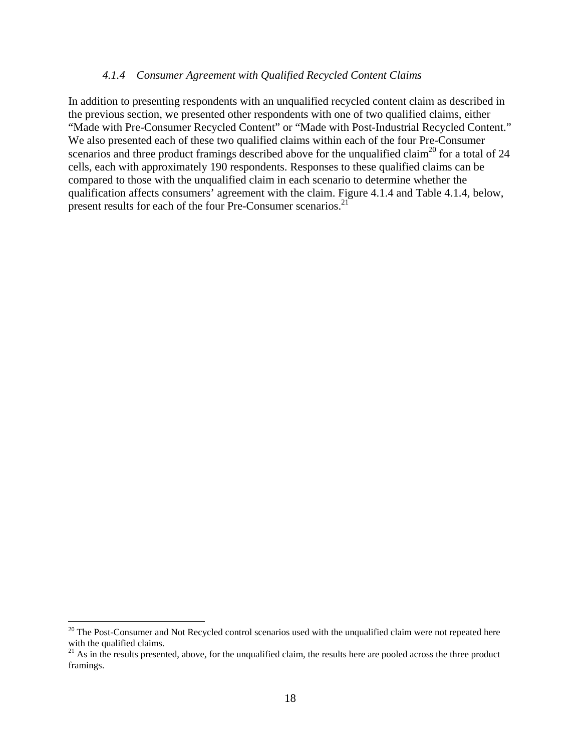#### *4.1.4 Consumer Agreement with Qualified Recycled Content Claims*

In addition to presenting respondents with an unqualified recycled content claim as described in the previous section, we presented other respondents with one of two qualified claims, either "Made with Pre-Consumer Recycled Content" or "Made with Post-Industrial Recycled Content." We also presented each of these two qualified claims within each of the four Pre-Consumer scenarios and three product framings described above for the unqualified claim<sup>20</sup> for a total of 24 cells, each with approximately 190 respondents. Responses to these qualified claims can be compared to those with the unqualified claim in each scenario to determine whether the qualification affects consumers' agreement with the claim. Figure 4.1.4 and Table 4.1.4, below, present results for each of the four Pre-Consumer scenarios.<sup>21</sup>

 $20$  The Post-Consumer and Not Recycled control scenarios used with the unqualified claim were not repeated here with the qualified claims.

<sup>&</sup>lt;sup>21</sup> As in the results presented, above, for the unqualified claim, the results here are pooled across the three product framings.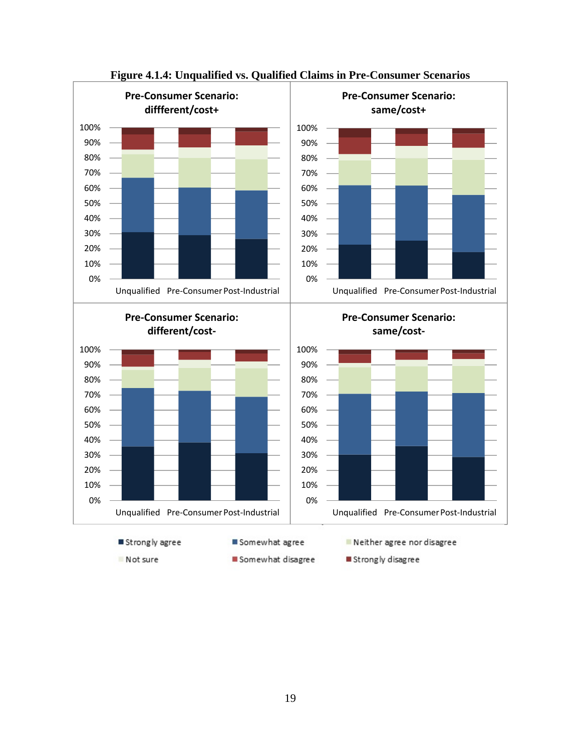

**Figure 4.1.4: Unqualified vs. Qualified Claims in Pre-Consumer Scenarios**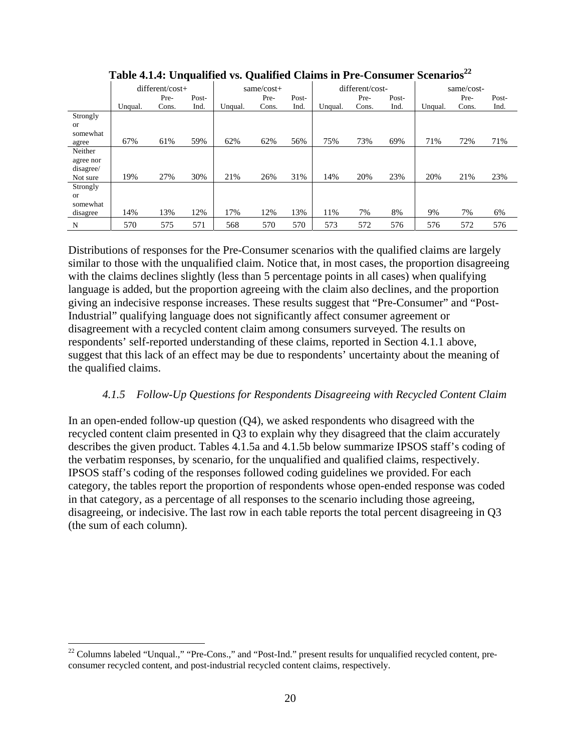|               |         |                 |       | ∼       |            |       |         |                 |       |         |            |       |
|---------------|---------|-----------------|-------|---------|------------|-------|---------|-----------------|-------|---------|------------|-------|
|               |         | different/cost+ |       |         | same/cost+ |       |         | different/cost- |       |         | same/cost- |       |
|               |         | Pre-            | Post- |         | Pre-       | Post- |         | Pre-            | Post- |         | Pre-       | Post- |
|               | Unqual. | Cons.           | Ind.  | Unqual. | Cons.      | Ind.  | Unqual. | Cons.           | Ind.  | Unqual. | Cons.      | Ind.  |
| Strongly      |         |                 |       |         |            |       |         |                 |       |         |            |       |
| <sub>or</sub> |         |                 |       |         |            |       |         |                 |       |         |            |       |
| somewhat      |         |                 |       |         |            |       |         |                 |       |         |            |       |
| agree         | 67%     | 61%             | 59%   | 62%     | 62%        | 56%   | 75%     | 73%             | 69%   | 71%     | 72%        | 71%   |
| Neither       |         |                 |       |         |            |       |         |                 |       |         |            |       |
| agree nor     |         |                 |       |         |            |       |         |                 |       |         |            |       |
| disagree/     |         |                 |       |         |            |       |         |                 |       |         |            |       |
| Not sure      | 19%     | 27%             | 30%   | 21%     | 26%        | 31%   | 14%     | 20%             | 23%   | 20%     | 21%        | 23%   |
| Strongly      |         |                 |       |         |            |       |         |                 |       |         |            |       |
| <sub>or</sub> |         |                 |       |         |            |       |         |                 |       |         |            |       |
| somewhat      |         |                 |       |         |            |       |         |                 |       |         |            |       |
| disagree      | 14%     | 13%             | 12%   | 17%     | 12%        | 13%   | 11%     | 7%              | 8%    | 9%      | 7%         | 6%    |
| N             | 570     | 575             | 571   | 568     | 570        | 570   | 573     | 572             | 576   | 576     | 572        | 576   |

Table 4.1.4: Unqualified vs. Qualified Claims in Pre-Consumer Scenarios<sup>22</sup>

Distributions of responses for the Pre-Consumer scenarios with the qualified claims are largely similar to those with the unqualified claim. Notice that, in most cases, the proportion disagreeing with the claims declines slightly (less than 5 percentage points in all cases) when qualifying language is added, but the proportion agreeing with the claim also declines, and the proportion giving an indecisive response increases. These results suggest that "Pre-Consumer" and "Post-Industrial" qualifying language does not significantly affect consumer agreement or disagreement with a recycled content claim among consumers surveyed. The results on respondents' self-reported understanding of these claims, reported in Section 4.1.1 above, suggest that this lack of an effect may be due to respondents' uncertainty about the meaning of the qualified claims.

## *4.1.5 Follow-Up Questions for Respondents Disagreeing with Recycled Content Claim*

In an open-ended follow-up question (Q4), we asked respondents who disagreed with the recycled content claim presented in Q3 to explain why they disagreed that the claim accurately describes the given product. Tables 4.1.5a and 4.1.5b below summarize IPSOS staff's coding of the verbatim responses, by scenario, for the unqualified and qualified claims, respectively. IPSOS staff's coding of the responses followed coding guidelines we provided. For each category, the tables report the proportion of respondents whose open-ended response was coded in that category, as a percentage of all responses to the scenario including those agreeing, disagreeing, or indecisive. The last row in each table reports the total percent disagreeing in Q3 (the sum of each column).

 $^{22}$  Columns labeled "Unqual.," "Pre-Cons.," and "Post-Ind." present results for unqualified recycled content, preconsumer recycled content, and post-industrial recycled content claims, respectively.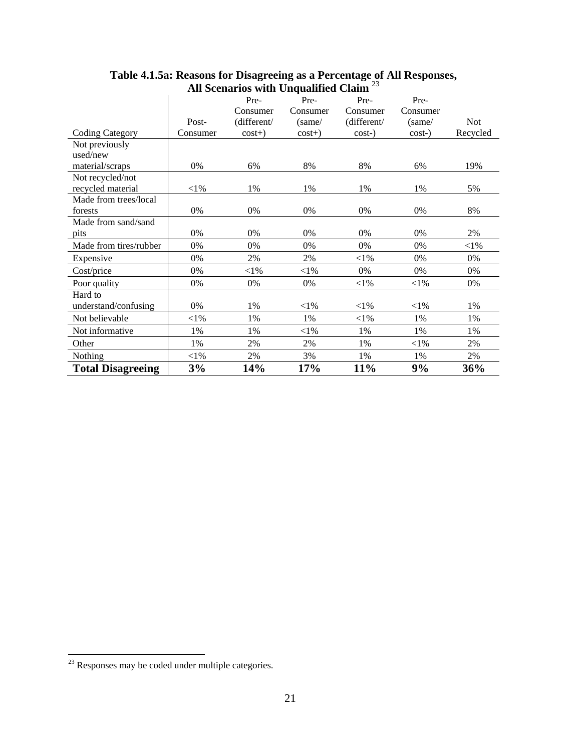|                          |          | Pre-        | Pre-     | Pre-        | Pre-     |            |
|--------------------------|----------|-------------|----------|-------------|----------|------------|
|                          |          | Consumer    | Consumer | Consumer    | Consumer |            |
|                          | Post-    | (different/ | (same/   | (different/ | (same/   | <b>Not</b> |
| <b>Coding Category</b>   | Consumer | $cost+)$    | $cost+)$ | $cost-)$    | $cost-)$ | Recycled   |
| Not previously           |          |             |          |             |          |            |
| used/new                 |          |             |          |             |          |            |
| material/scraps          | 0%       | 6%          | 8%       | 8%          | 6%       | 19%        |
| Not recycled/not         |          |             |          |             |          |            |
| recycled material        | ${<}1\%$ | 1%          | 1%       | 1%          | 1%       | 5%         |
| Made from trees/local    |          |             |          |             |          |            |
| forests                  | 0%       | 0%          | 0%       | 0%          | 0%       | 8%         |
| Made from sand/sand      |          |             |          |             |          |            |
| pits                     | 0%       | 0%          | 0%       | 0%          | $0\%$    | 2%         |
| Made from tires/rubber   | 0%       | 0%          | 0%       | 0%          | 0%       | ${<}1\%$   |
| Expensive                | $0\%$    | 2%          | 2%       | $<$ 1%      | 0%       | 0%         |
| Cost/price               | 0%       | $<$ 1%      | ${<}1\%$ | 0%          | 0%       | 0%         |
| Poor quality             | 0%       | 0%          | 0%       | ${<}1\%$    | ${<}1\%$ | 0%         |
| Hard to                  |          |             |          |             |          |            |
| understand/confusing     | 0%       | 1%          | ${<}1\%$ | ${<}1\%$    | ${<}1\%$ | 1%         |
| Not believable           | $<$ 1%   | 1%          | 1%       | $<$ 1%      | 1%       | 1%         |
| Not informative          | 1%       | 1%          | ${<}1\%$ | 1%          | 1%       | 1%         |
| Other                    | 1%       | 2%          | 2%       | 1%          | ${<}1\%$ | 2%         |
| Nothing                  | $<$ 1%   | 2%          | 3%       | 1%          | 1%       | 2%         |
| <b>Total Disagreeing</b> | 3%       | 14%         | 17%      | 11%         | 9%       | 36%        |

#### **Table 4.1.5a: Reasons for Disagreeing as a Percentage of All Responses, All Scenarios with Unqualified Claim** <sup>23</sup>

 $2<sup>23</sup>$  Responses may be coded under multiple categories.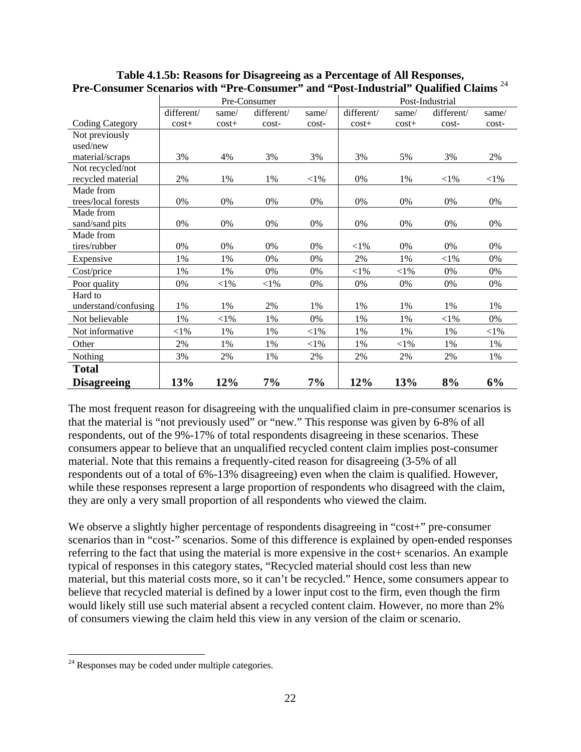|                        | Pre-Consumer |           |            | Post-Industrial |            |          |            |          |
|------------------------|--------------|-----------|------------|-----------------|------------|----------|------------|----------|
|                        | different/   | same/     | different/ | same/           | different/ | same/    | different/ | same/    |
| <b>Coding Category</b> | $cost+$      | $cost+$   | cost-      | cost-           | $cost+$    | $cost+$  | cost-      | cost-    |
| Not previously         |              |           |            |                 |            |          |            |          |
| used/new               |              |           |            |                 |            |          |            |          |
| material/scraps        | 3%           | 4%        | 3%         | 3%              | 3%         | 5%       | 3%         | 2%       |
| Not recycled/not       |              |           |            |                 |            |          |            |          |
| recycled material      | 2%           | 1%        | 1%         | $<$ 1%          | 0%         | 1%       | $<$ l $%$  | $<$ 1%   |
| Made from              |              |           |            |                 |            |          |            |          |
| trees/local forests    | 0%           | $0\%$     | 0%         | 0%              | 0%         | 0%       | 0%         | 0%       |
| Made from              |              |           |            |                 |            |          |            |          |
| sand/sand pits         | 0%           | 0%        | 0%         | 0%              | 0%         | 0%       | 0%         | 0%       |
| Made from              |              |           |            |                 |            |          |            |          |
| tires/rubber           | 0%           | 0%        | 0%         | 0%              | $<$ 1%     | 0%       | 0%         | 0%       |
| Expensive              | 1%           | 1%        | 0%         | 0%              | 2%         | 1%       | ${<}1\%$   | 0%       |
| Cost/price             | 1%           | 1%        | 0%         | 0%              | ${<}1\%$   | ${<}1\%$ | 0%         | 0%       |
| Poor quality           | 0%           | $<$ l $%$ | $<$ 1%     | 0%              | 0%         | 0%       | 0%         | 0%       |
| Hard to                |              |           |            |                 |            |          |            |          |
| understand/confusing   | 1%           | 1%        | 2%         | 1%              | 1%         | 1%       | 1%         | 1%       |
| Not believable         | 1%           | $<$ l $%$ | 1%         | 0%              | 1%         | 1%       | ${<}1\%$   | 0%       |
| Not informative        | ${<}1\%$     | 1%        | 1%         | $<$ 1%          | 1%         | 1%       | 1%         | ${<}1\%$ |
| Other                  | 2%           | 1%        | 1%         | $<$ 1%          | 1%         | ${<}1\%$ | 1%         | 1%       |
| <b>Nothing</b>         | 3%           | 2%        | 1%         | 2%              | 2%         | 2%       | 2%         | 1%       |
| <b>Total</b>           |              |           |            |                 |            |          |            |          |
| <b>Disagreeing</b>     | 13%          | 12%       | 7%         | $7\%$           | 12%        | 13%      | 8%         | 6%       |

### **Table 4.1.5b: Reasons for Disagreeing as a Percentage of All Responses, Pre-Consumer Scenarios with "Pre-Consumer" and "Post-Industrial" Qualified Claims** <sup>24</sup>

The most frequent reason for disagreeing with the unqualified claim in pre-consumer scenarios is that the material is "not previously used" or "new." This response was given by 6-8% of all respondents, out of the 9%-17% of total respondents disagreeing in these scenarios. These consumers appear to believe that an unqualified recycled content claim implies post-consumer material. Note that this remains a frequently-cited reason for disagreeing (3-5% of all respondents out of a total of 6%-13% disagreeing) even when the claim is qualified. However, while these responses represent a large proportion of respondents who disagreed with the claim, they are only a very small proportion of all respondents who viewed the claim.

We observe a slightly higher percentage of respondents disagreeing in "cost+" pre-consumer scenarios than in "cost-" scenarios. Some of this difference is explained by open-ended responses referring to the fact that using the material is more expensive in the cost+ scenarios. An example typical of responses in this category states, "Recycled material should cost less than new material, but this material costs more, so it can't be recycled." Hence, some consumers appear to believe that recycled material is defined by a lower input cost to the firm, even though the firm would likely still use such material absent a recycled content claim. However, no more than 2% of consumers viewing the claim held this view in any version of the claim or scenario.

 $\overline{a}$  $24$  Responses may be coded under multiple categories.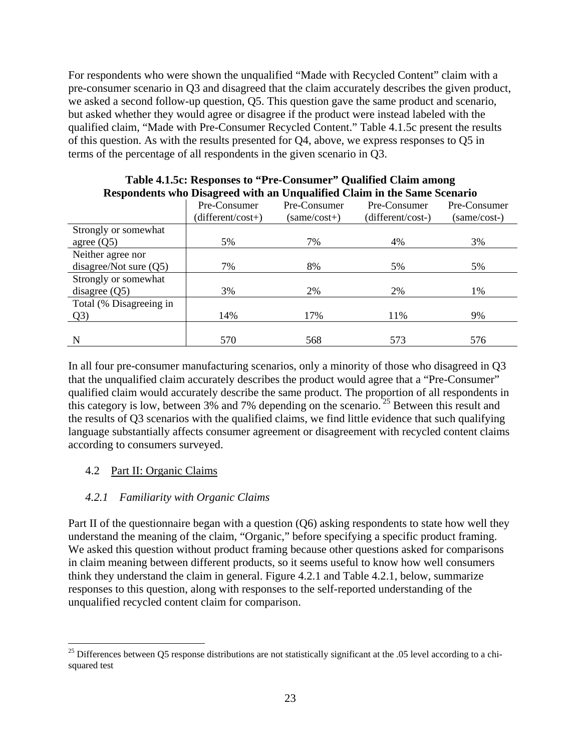For respondents who were shown the unqualified "Made with Recycled Content" claim with a pre-consumer scenario in Q3 and disagreed that the claim accurately describes the given product, we asked a second follow-up question, Q5. This question gave the same product and scenario, but asked whether they would agree or disagree if the product were instead labeled with the qualified claim, "Made with Pre-Consumer Recycled Content." Table 4.1.5c present the results of this question. As with the results presented for Q4, above, we express responses to Q5 in terms of the percentage of all respondents in the given scenario in Q3.

|                          | Pre-Consumer<br>$(different/cost+)$ | Pre-Consumer<br>$(same/cost+)$ | Pre-Consumer<br>(different/cost-) | Pre-Consumer<br>(same/cost-) |
|--------------------------|-------------------------------------|--------------------------------|-----------------------------------|------------------------------|
| Strongly or somewhat     |                                     |                                |                                   |                              |
| agree $(Q5)$             | 5%                                  | 7%                             | 4%                                | 3%                           |
| Neither agree nor        |                                     |                                |                                   |                              |
| disagree/Not sure $(Q5)$ | 7%                                  | 8%                             | 5%                                | 5%                           |
| Strongly or somewhat     |                                     |                                |                                   |                              |
| disagree $(Q5)$          | 3%                                  | 2%                             | 2%                                | 1%                           |
| Total (% Disagreeing in  |                                     |                                |                                   |                              |
| Q <sub>3</sub>           | 14%                                 | 17%                            | 11%                               | 9%                           |
|                          |                                     |                                |                                   |                              |
| N                        | 570                                 | 568                            | 573                               | 576                          |

#### **Table 4.1.5c: Responses to "Pre-Consumer" Qualified Claim among Respondents who Disagreed with an Unqualified Claim in the Same Scenario**

In all four pre-consumer manufacturing scenarios, only a minority of those who disagreed in Q3 that the unqualified claim accurately describes the product would agree that a "Pre-Consumer" qualified claim would accurately describe the same product. The proportion of all respondents in this category is low, between  $3\%$  and  $7\%$  depending on the scenario.<sup>25</sup> Between this result and the results of Q3 scenarios with the qualified claims, we find little evidence that such qualifying language substantially affects consumer agreement or disagreement with recycled content claims according to consumers surveyed.

## 4.2 Part II: Organic Claims

 $\overline{a}$ 

#### *4.2.1 Familiarity with Organic Claims*

Part II of the questionnaire began with a question (Q6) asking respondents to state how well they understand the meaning of the claim, "Organic," before specifying a specific product framing. We asked this question without product framing because other questions asked for comparisons in claim meaning between different products, so it seems useful to know how well consumers think they understand the claim in general. Figure 4.2.1 and Table 4.2.1, below, summarize responses to this question, along with responses to the self-reported understanding of the unqualified recycled content claim for comparison.

 $25$  Differences between Q5 response distributions are not statistically significant at the .05 level according to a chisquared test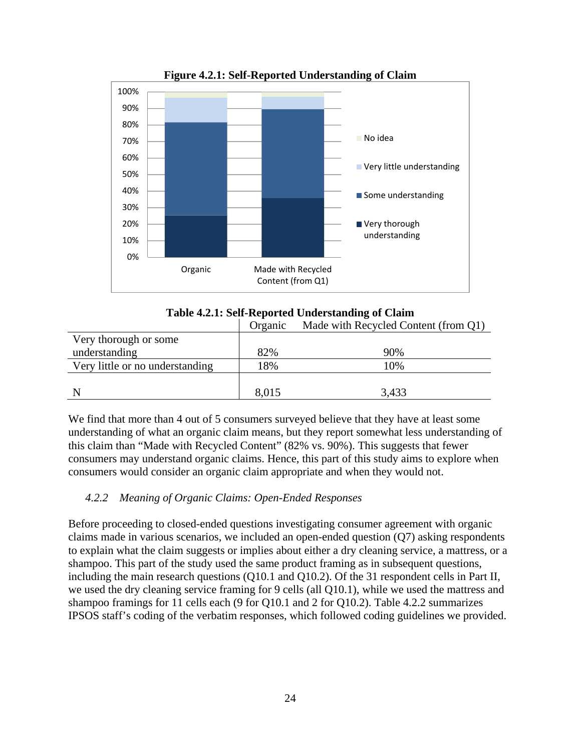

**Figure 4.2.1: Self-Reported Understanding of Claim** 



|                                 | Organic | Made with Recycled Content (from Q1) |
|---------------------------------|---------|--------------------------------------|
| Very thorough or some           |         |                                      |
| understanding                   | 82%     | 90%                                  |
| Very little or no understanding | 18%     | 10%                                  |
|                                 |         |                                      |
|                                 | 8,015   | 3,433                                |

We find that more than 4 out of 5 consumers surveyed believe that they have at least some understanding of what an organic claim means, but they report somewhat less understanding of this claim than "Made with Recycled Content" (82% vs. 90%). This suggests that fewer consumers may understand organic claims. Hence, this part of this study aims to explore when consumers would consider an organic claim appropriate and when they would not.

## *4.2.2 Meaning of Organic Claims: Open-Ended Responses*

Before proceeding to closed-ended questions investigating consumer agreement with organic claims made in various scenarios, we included an open-ended question (Q7) asking respondents to explain what the claim suggests or implies about either a dry cleaning service, a mattress, or a shampoo. This part of the study used the same product framing as in subsequent questions, including the main research questions (Q10.1 and Q10.2). Of the 31 respondent cells in Part II, we used the dry cleaning service framing for 9 cells (all Q10.1), while we used the mattress and shampoo framings for 11 cells each (9 for Q10.1 and 2 for Q10.2). Table 4.2.2 summarizes IPSOS staff's coding of the verbatim responses, which followed coding guidelines we provided.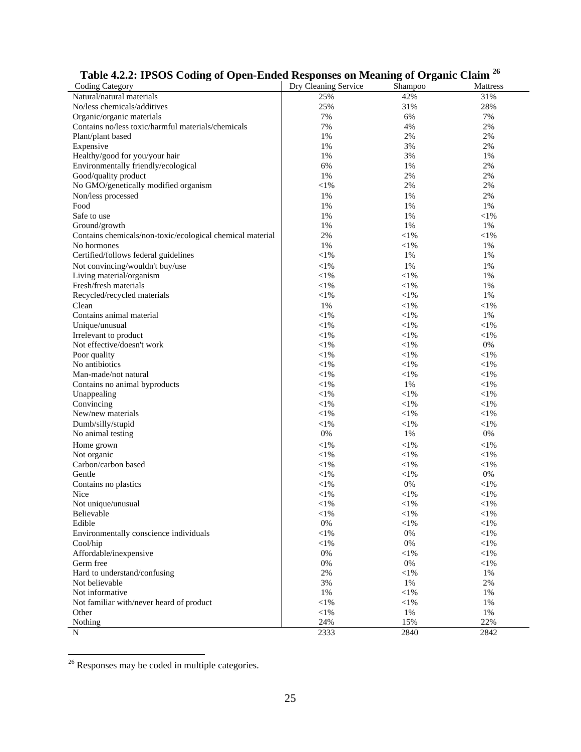| Table 4.2.2: If SOS County of Open-Ended Responses on Meaning of Organic Clann |                      |            |            |
|--------------------------------------------------------------------------------|----------------------|------------|------------|
| <b>Coding Category</b>                                                         | Dry Cleaning Service | Shampoo    | Mattress   |
| Natural/natural materials                                                      | 25%                  | 42%        | 31%        |
| No/less chemicals/additives                                                    | 25%                  | 31%        | 28%        |
| Organic/organic materials                                                      | 7%                   | 6%         | 7%         |
| Contains no/less toxic/harmful materials/chemicals                             | 7%                   | 4%         | 2%         |
| Plant/plant based                                                              | 1%                   | 2%         | 2%         |
| Expensive                                                                      | 1%                   | 3%         | 2%         |
| Healthy/good for you/your hair                                                 | 1%                   | 3%         | 1%         |
| Environmentally friendly/ecological                                            | 6%                   | 1%         | 2%         |
| Good/quality product                                                           | 1%                   | 2%         | 2%         |
| No GMO/genetically modified organism                                           | $<$ l $%$            | 2%         | 2%         |
| Non/less processed                                                             | 1%                   | 1%         | 2%         |
| Food                                                                           | 1%                   | 1%         | 1%         |
| Safe to use                                                                    | 1%                   | 1%         | ${<}1\%$   |
| Ground/growth                                                                  | 1%                   | 1%         | 1%         |
| Contains chemicals/non-toxic/ecological chemical material                      | 2%                   | $<$ 1%     | $<$ l $%$  |
| No hormones                                                                    | 1%                   | $<$ 1%     | 1%         |
| Certified/follows federal guidelines                                           | $<$ 1%               | 1%         | 1%         |
| Not convincing/wouldn't buy/use                                                | $<$ 1%               | 1%         | 1%         |
| Living material/organism                                                       | $<$ l $%$            | $<$ 1%     | 1%         |
| Fresh/fresh materials                                                          | $<$ 1%               | $<$ 1%     | 1%         |
| Recycled/recycled materials                                                    | $<$ 1%               | $<$ 1%     | 1%         |
| Clean                                                                          | 1%                   | $<$ 1%     |            |
|                                                                                |                      |            | $<$ 1%     |
| Contains animal material                                                       | $<$ l%               | $<$ 1%     | 1%         |
| Unique/unusual                                                                 | $<$ l $%$            | $<$ 1%     | ${<}1\%$   |
| Irrelevant to product                                                          | $<$ 1%               | $<$ 1%     | ${<}1\%$   |
| Not effective/doesn't work                                                     | $<$ l $%$            | $<$ 1%     | 0%         |
| Poor quality                                                                   | $<$ 1%               | $<$ 1%     | $<$ l $%$  |
| No antibiotics                                                                 | $<$ 1%               | $<$ 1%     | ${<}1\%$   |
| Man-made/not natural                                                           | $<$ 1%               | $<$ 1%     | ${<}1\%$   |
| Contains no animal byproducts                                                  | $<$ 1%               | 1%         | $<$ 1%     |
| Unappealing                                                                    | $<$ 1%               | $<$ 1%     | $<$ 1%     |
| Convincing                                                                     | $<$ 1%               | $<$ 1%     | ${<}1\%$   |
| New/new materials                                                              | $<$ l $%$            | $<$ 1%     | ${<}1\%$   |
| Dumb/silly/stupid                                                              | $<$ 1%               | $<$ 1%     | $<$ 1%     |
| No animal testing                                                              | 0%                   | 1%         | $0\%$      |
| Home grown                                                                     | $<$ 1%               | $<$ 1%     | ${<}1\%$   |
| Not organic                                                                    | $<$ 1%               | $<$ 1%     | ${<}1\%$   |
| Carbon/carbon based                                                            | $<$ l $%$            | $<$ 1%     | ${<}1\%$   |
| Gentle                                                                         | $<$ 1%               | $<$ 1%     | 0%         |
| Contains no plastics                                                           | $<$ 1%               | 0%         | ${<}1\%$   |
| Nice                                                                           | ${<}1\%$             | $<$ 1%     | ${<}1\%$   |
| Not unique/unusual                                                             | $<$ l $%$            | $<$ l%     | $\leq$ 1%  |
| <b>Believable</b>                                                              | $<$ 1%               | $<\!\!1\%$ | $<\!\!1\%$ |
| Edible                                                                         | $0\%$                | $<$ 1%     | $<\!\!1\%$ |
| Environmentally conscience individuals                                         | $<$ l%               | 0%         | $<$ 1%     |
| Cool/hip                                                                       | $<\!\!1\%$           | 0%         | $<$ 1%     |
| Affordable/inexpensive                                                         | 0%                   | $<$ 1%     | $<\!\!1\%$ |
| Germ free                                                                      | $0\%$                | 0%         | $<\!\!1\%$ |
| Hard to understand/confusing                                                   | 2%                   | $<$ 1%     | 1%         |
| Not believable                                                                 | 3%                   | 1%         | 2%         |
| Not informative                                                                | 1%                   | $<$ 1%     | 1%         |
|                                                                                |                      |            |            |
| Not familiar with/never heard of product                                       | $<$ l $%$            | $<$ 1%     | 1%         |
| Other                                                                          | $<$ l%               | 1%         | 1%         |
| Nothing                                                                        | 24%                  | 15%        | 22%        |
| N                                                                              | 2333                 | 2840       | 2842       |

# **Table 4.2.2: IPSOS Coding of Open-Ended Responses on Meaning of Organic Claim 26**

 $26$  Responses may be coded in multiple categories.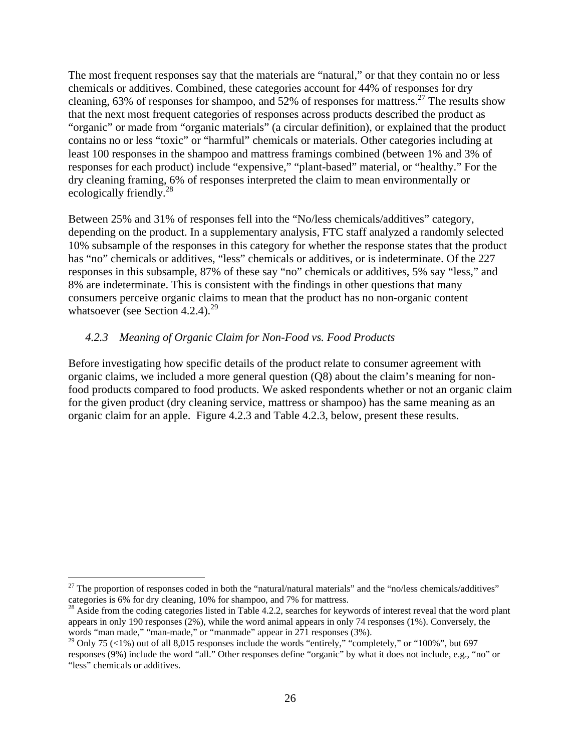The most frequent responses say that the materials are "natural," or that they contain no or less chemicals or additives. Combined, these categories account for 44% of responses for dry cleaning, 63% of responses for shampoo, and 52% of responses for mattress.27 The results show that the next most frequent categories of responses across products described the product as "organic" or made from "organic materials" (a circular definition), or explained that the product contains no or less "toxic" or "harmful" chemicals or materials. Other categories including at least 100 responses in the shampoo and mattress framings combined (between 1% and 3% of responses for each product) include "expensive," "plant-based" material, or "healthy." For the dry cleaning framing, 6% of responses interpreted the claim to mean environmentally or ecologically friendly.<sup>28</sup>

Between 25% and 31% of responses fell into the "No/less chemicals/additives" category, depending on the product. In a supplementary analysis, FTC staff analyzed a randomly selected 10% subsample of the responses in this category for whether the response states that the product has "no" chemicals or additives, "less" chemicals or additives, or is indeterminate. Of the 227 responses in this subsample, 87% of these say "no" chemicals or additives, 5% say "less," and 8% are indeterminate. This is consistent with the findings in other questions that many consumers perceive organic claims to mean that the product has no non-organic content whatsoever (see Section 4.2.4).<sup>29</sup>

#### *4.2.3 Meaning of Organic Claim for Non-Food vs. Food Products*

Before investigating how specific details of the product relate to consumer agreement with organic claims, we included a more general question (Q8) about the claim's meaning for nonfood products compared to food products. We asked respondents whether or not an organic claim for the given product (dry cleaning service, mattress or shampoo) has the same meaning as an organic claim for an apple. Figure 4.2.3 and Table 4.2.3, below, present these results.

1

<sup>&</sup>lt;sup>27</sup> The proportion of responses coded in both the "natural/natural materials" and the "no/less chemicals/additives" categories is 6% for dry cleaning, 10% for shampoo, and 7% for mattress.

<sup>&</sup>lt;sup>28</sup> Aside from the coding categories listed in Table 4.2.2, searches for keywords of interest reveal that the word plant appears in only 190 responses (2%), while the word animal appears in only 74 responses (1%). Conversely, the words "man made," "man-made," or "manmade" appear in 271 responses (3%).

<sup>&</sup>lt;sup>29</sup> Only 75 (<1%) out of all 8,015 responses include the words "entirely," "completely," or "100%", but 697 responses (9%) include the word "all." Other responses define "organic" by what it does not include, e.g., "no" or "less" chemicals or additives.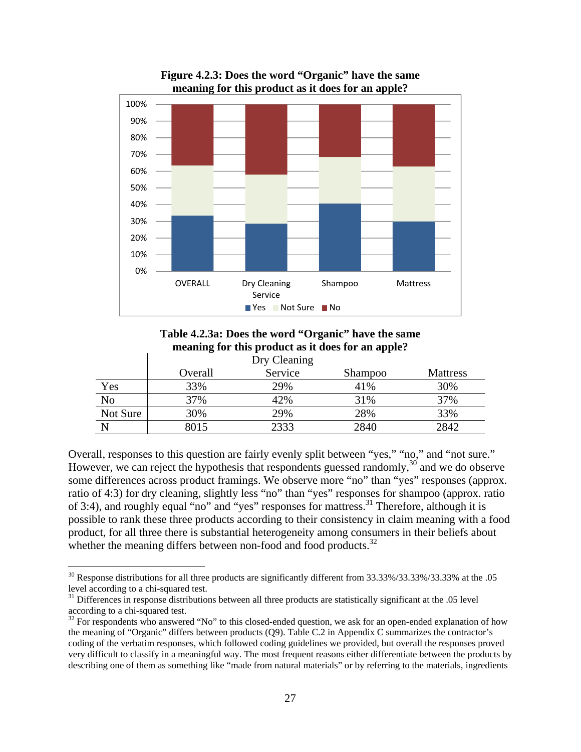

**Figure 4.2.3: Does the word "Organic" have the same meaning for this product as it does for an apple?** 

**Table 4.2.3a: Does the word "Organic" have the same meaning for this product as it does for an apple?** 

|          |         | Dry Cleaning |         |                 |
|----------|---------|--------------|---------|-----------------|
|          | Overall | Service      | Shampoo | <b>Mattress</b> |
| Yes      | 33%     | 29%          | 41%     | 30%             |
| No       | 37%     | 42%          | 31%     | 37%             |
| Not Sure | 30%     | 29%          | 28%     | 33%             |
|          | 8015    | 2333         | 2840    | 2842            |

Overall, responses to this question are fairly evenly split between "yes," "no," and "not sure." However, we can reject the hypothesis that respondents guessed randomly,  $30<sup>30</sup>$  and we do observe some differences across product framings. We observe more "no" than "yes" responses (approx. ratio of 4:3) for dry cleaning, slightly less "no" than "yes" responses for shampoo (approx. ratio of 3:4), and roughly equal "no" and "yes" responses for mattress.<sup>31</sup> Therefore, although it is possible to rank these three products according to their consistency in claim meaning with a food product, for all three there is substantial heterogeneity among consumers in their beliefs about whether the meaning differs between non-food and food products.<sup>32</sup>

 $30$  Response distributions for all three products are significantly different from 33.33%/33.33%/33.33% at the .05 level according to a chi-squared test.

 $31$  Differences in response distributions between all three products are statistically significant at the .05 level according to a chi-squared test.

 $32$  For respondents who answered "No" to this closed-ended question, we ask for an open-ended explanation of how the meaning of "Organic" differs between products (Q9). Table C.2 in Appendix C summarizes the contractor's coding of the verbatim responses, which followed coding guidelines we provided, but overall the responses proved very difficult to classify in a meaningful way. The most frequent reasons either differentiate between the products by describing one of them as something like "made from natural materials" or by referring to the materials, ingredients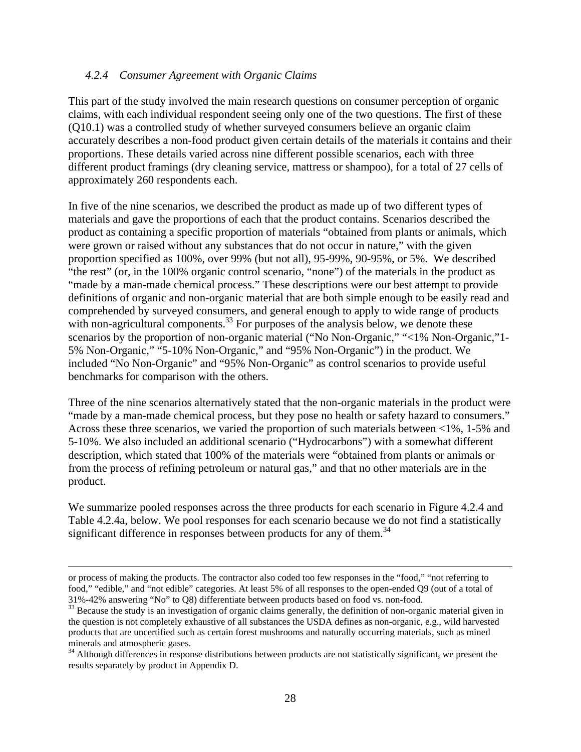#### *4.2.4 Consumer Agreement with Organic Claims*

This part of the study involved the main research questions on consumer perception of organic claims, with each individual respondent seeing only one of the two questions. The first of these (Q10.1) was a controlled study of whether surveyed consumers believe an organic claim accurately describes a non-food product given certain details of the materials it contains and their proportions. These details varied across nine different possible scenarios, each with three different product framings (dry cleaning service, mattress or shampoo), for a total of 27 cells of approximately 260 respondents each.

In five of the nine scenarios, we described the product as made up of two different types of materials and gave the proportions of each that the product contains. Scenarios described the product as containing a specific proportion of materials "obtained from plants or animals, which were grown or raised without any substances that do not occur in nature," with the given proportion specified as 100%, over 99% (but not all), 95-99%, 90-95%, or 5%. We described "the rest" (or, in the 100% organic control scenario, "none") of the materials in the product as "made by a man-made chemical process." These descriptions were our best attempt to provide definitions of organic and non-organic material that are both simple enough to be easily read and comprehended by surveyed consumers, and general enough to apply to wide range of products with non-agricultural components.<sup>33</sup> For purposes of the analysis below, we denote these scenarios by the proportion of non-organic material ("No Non-Organic," "<1% Non-Organic,"1- 5% Non-Organic," "5-10% Non-Organic," and "95% Non-Organic") in the product. We included "No Non-Organic" and "95% Non-Organic" as control scenarios to provide useful benchmarks for comparison with the others.

Three of the nine scenarios alternatively stated that the non-organic materials in the product were "made by a man-made chemical process, but they pose no health or safety hazard to consumers." Across these three scenarios, we varied the proportion of such materials between <1%, 1-5% and 5-10%. We also included an additional scenario ("Hydrocarbons") with a somewhat different description, which stated that 100% of the materials were "obtained from plants or animals or from the process of refining petroleum or natural gas," and that no other materials are in the product.

We summarize pooled responses across the three products for each scenario in Figure 4.2.4 and Table 4.2.4a, below. We pool responses for each scenario because we do not find a statistically significant difference in responses between products for any of them.<sup>34</sup>

or process of making the products. The contractor also coded too few responses in the "food," "not referring to food," "edible," and "not edible" categories. At least 5% of all responses to the open-ended Q9 (out of a total of 31%-42% answering "No" to Q8) differentiate between products based on food vs. non-food.

<sup>&</sup>lt;sup>33</sup> Because the study is an investigation of organic claims generally, the definition of non-organic material given in the question is not completely exhaustive of all substances the USDA defines as non-organic, e.g., wild harvested products that are uncertified such as certain forest mushrooms and naturally occurring materials, such as mined minerals and atmospheric gases.

<sup>&</sup>lt;sup>34</sup> Although differences in response distributions between products are not statistically significant, we present the results separately by product in Appendix D.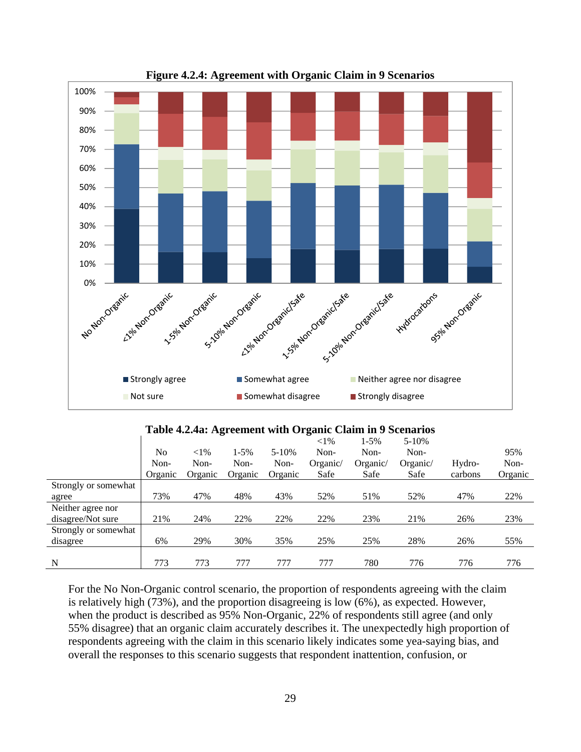

**Figure 4.2.4: Agreement with Organic Claim in 9 Scenarios** 

| Table 4.2.4a: Agreement with Organic Claim in 9 Scenarios |  |  |
|-----------------------------------------------------------|--|--|
|                                                           |  |  |

|                      |         |          |         |           | $<$ 1%   | $1 - 5\%$ | $5 - 10%$ |         |         |
|----------------------|---------|----------|---------|-----------|----------|-----------|-----------|---------|---------|
|                      | No      | ${<}1\%$ | 1-5%    | $5 - 10%$ | Non-     | Non-      | Non-      |         | 95%     |
|                      | Non-    | Non-     | Non-    | Non-      | Organic/ | Organic/  | Organic/  | Hydro-  | Non-    |
|                      | Organic | Organic  | Organic | Organic   | Safe     | Safe      | Safe      | carbons | Organic |
| Strongly or somewhat |         |          |         |           |          |           |           |         |         |
| agree                | 73%     | 47%      | 48%     | 43%       | 52%      | 51%       | 52%       | 47%     | 22%     |
| Neither agree nor    |         |          |         |           |          |           |           |         |         |
| disagree/Not sure    | 21%     | 24%      | 22%     | 22%       | 22%      | 23%       | 21%       | 26%     | 23%     |
| Strongly or somewhat |         |          |         |           |          |           |           |         |         |
| disagree             | 6%      | 29%      | 30%     | 35%       | 25%      | 25%       | 28%       | 26%     | 55%     |
|                      |         |          |         |           |          |           |           |         |         |
| N                    | 773     | 773      | 777     | 777       | 777      | 780       | 776       | 776     | 776     |

For the No Non-Organic control scenario, the proportion of respondents agreeing with the claim is relatively high (73%), and the proportion disagreeing is low (6%), as expected. However, when the product is described as 95% Non-Organic, 22% of respondents still agree (and only 55% disagree) that an organic claim accurately describes it. The unexpectedly high proportion of respondents agreeing with the claim in this scenario likely indicates some yea-saying bias, and overall the responses to this scenario suggests that respondent inattention, confusion, or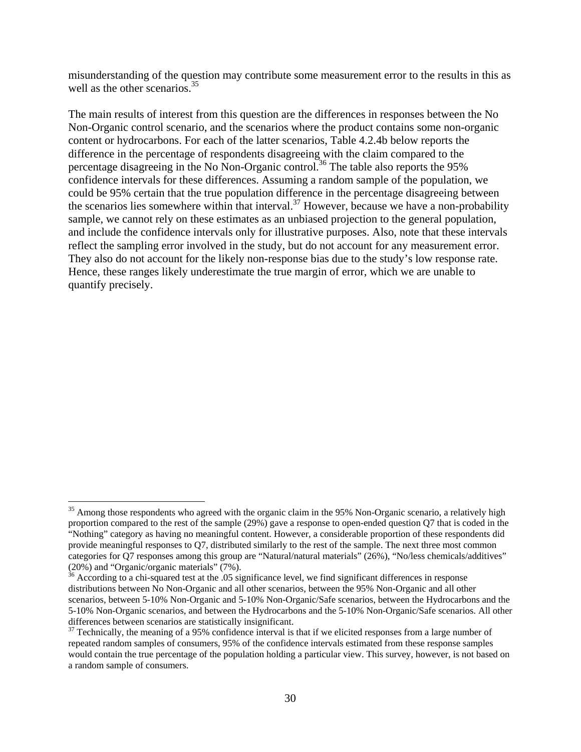misunderstanding of the question may contribute some measurement error to the results in this as well as the other scenarios.<sup>35</sup>

The main results of interest from this question are the differences in responses between the No Non-Organic control scenario, and the scenarios where the product contains some non-organic content or hydrocarbons. For each of the latter scenarios, Table 4.2.4b below reports the difference in the percentage of respondents disagreeing with the claim compared to the percentage disagreeing in the No Non-Organic control.<sup>36</sup> The table also reports the 95% confidence intervals for these differences. Assuming a random sample of the population, we could be 95% certain that the true population difference in the percentage disagreeing between the scenarios lies somewhere within that interval.<sup>37</sup> However, because we have a non-probability sample, we cannot rely on these estimates as an unbiased projection to the general population, and include the confidence intervals only for illustrative purposes. Also, note that these intervals reflect the sampling error involved in the study, but do not account for any measurement error. They also do not account for the likely non-response bias due to the study's low response rate. Hence, these ranges likely underestimate the true margin of error, which we are unable to quantify precisely.

<sup>&</sup>lt;sup>35</sup> Among those respondents who agreed with the organic claim in the 95% Non-Organic scenario, a relatively high proportion compared to the rest of the sample (29%) gave a response to open-ended question Q7 that is coded in the "Nothing" category as having no meaningful content. However, a considerable proportion of these respondents did provide meaningful responses to Q7, distributed similarly to the rest of the sample. The next three most common categories for Q7 responses among this group are "Natural/natural materials" (26%), "No/less chemicals/additives" (20%) and "Organic/organic materials" (7%).

 $36$  According to a chi-squared test at the .05 significance level, we find significant differences in response distributions between No Non-Organic and all other scenarios, between the 95% Non-Organic and all other scenarios, between 5-10% Non-Organic and 5-10% Non-Organic/Safe scenarios, between the Hydrocarbons and the 5-10% Non-Organic scenarios, and between the Hydrocarbons and the 5-10% Non-Organic/Safe scenarios. All other differences between scenarios are statistically insignificant.<br> $37$  Technically, the meaning of a 95% confidence interval is that if we elicited responses from a large number of

repeated random samples of consumers, 95% of the confidence intervals estimated from these response samples would contain the true percentage of the population holding a particular view. This survey, however, is not based on a random sample of consumers.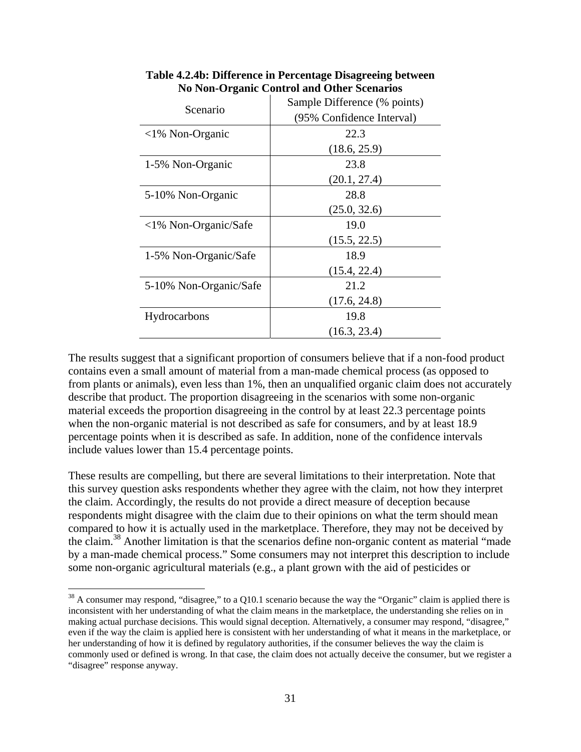| Scenario                      | Sample Difference (% points) |  |  |  |
|-------------------------------|------------------------------|--|--|--|
|                               | (95% Confidence Interval)    |  |  |  |
| $\langle$ 1% Non-Organic      | 22.3                         |  |  |  |
|                               | (18.6, 25.9)                 |  |  |  |
| 1-5% Non-Organic              | 23.8                         |  |  |  |
|                               | (20.1, 27.4)                 |  |  |  |
| 5-10% Non-Organic             | 28.8                         |  |  |  |
|                               | (25.0, 32.6)                 |  |  |  |
| $\langle$ 1% Non-Organic/Safe | 19.0                         |  |  |  |
|                               | (15.5, 22.5)                 |  |  |  |
| 1-5% Non-Organic/Safe         | 18.9                         |  |  |  |
|                               | (15.4, 22.4)                 |  |  |  |
| 5-10% Non-Organic/Safe        | 21.2                         |  |  |  |
|                               | (17.6, 24.8)                 |  |  |  |
| Hydrocarbons                  | 19.8                         |  |  |  |
|                               | (16.3, 23.4)                 |  |  |  |

**Table 4.2.4b: Difference in Percentage Disagreeing between No Non-Organic Control and Other Scenarios**

The results suggest that a significant proportion of consumers believe that if a non-food product contains even a small amount of material from a man-made chemical process (as opposed to from plants or animals), even less than 1%, then an unqualified organic claim does not accurately describe that product. The proportion disagreeing in the scenarios with some non-organic material exceeds the proportion disagreeing in the control by at least 22.3 percentage points when the non-organic material is not described as safe for consumers, and by at least 18.9 percentage points when it is described as safe. In addition, none of the confidence intervals include values lower than 15.4 percentage points.

These results are compelling, but there are several limitations to their interpretation. Note that this survey question asks respondents whether they agree with the claim, not how they interpret the claim. Accordingly, the results do not provide a direct measure of deception because respondents might disagree with the claim due to their opinions on what the term should mean compared to how it is actually used in the marketplace. Therefore, they may not be deceived by the claim.38 Another limitation is that the scenarios define non-organic content as material "made by a man-made chemical process." Some consumers may not interpret this description to include some non-organic agricultural materials (e.g., a plant grown with the aid of pesticides or

 $38$  A consumer may respond, "disagree," to a Q10.1 scenario because the way the "Organic" claim is applied there is inconsistent with her understanding of what the claim means in the marketplace, the understanding she relies on in making actual purchase decisions. This would signal deception. Alternatively, a consumer may respond, "disagree," even if the way the claim is applied here is consistent with her understanding of what it means in the marketplace, or her understanding of how it is defined by regulatory authorities, if the consumer believes the way the claim is commonly used or defined is wrong. In that case, the claim does not actually deceive the consumer, but we register a "disagree" response anyway.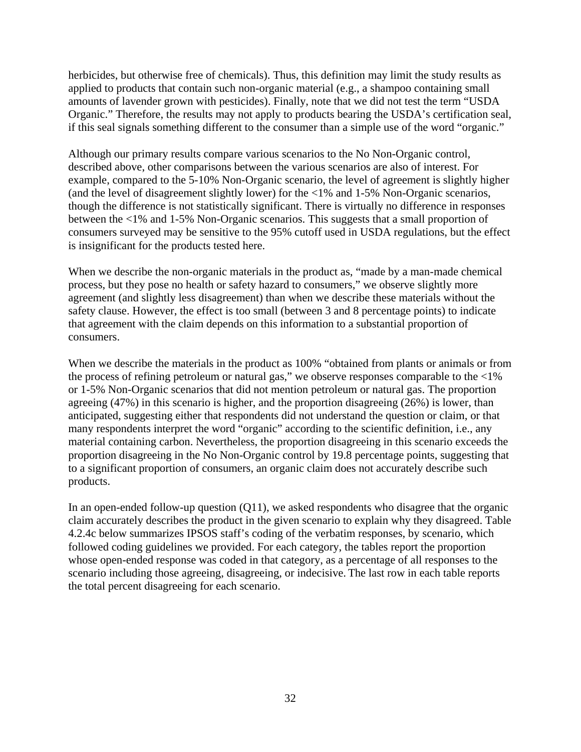herbicides, but otherwise free of chemicals). Thus, this definition may limit the study results as applied to products that contain such non-organic material (e.g., a shampoo containing small amounts of lavender grown with pesticides). Finally, note that we did not test the term "USDA Organic." Therefore, the results may not apply to products bearing the USDA's certification seal, if this seal signals something different to the consumer than a simple use of the word "organic."

Although our primary results compare various scenarios to the No Non-Organic control, described above, other comparisons between the various scenarios are also of interest. For example, compared to the 5-10% Non-Organic scenario, the level of agreement is slightly higher (and the level of disagreement slightly lower) for the <1% and 1-5% Non-Organic scenarios, though the difference is not statistically significant. There is virtually no difference in responses between the <1% and 1-5% Non-Organic scenarios. This suggests that a small proportion of consumers surveyed may be sensitive to the 95% cutoff used in USDA regulations, but the effect is insignificant for the products tested here.

When we describe the non-organic materials in the product as, "made by a man-made chemical process, but they pose no health or safety hazard to consumers," we observe slightly more agreement (and slightly less disagreement) than when we describe these materials without the safety clause. However, the effect is too small (between 3 and 8 percentage points) to indicate that agreement with the claim depends on this information to a substantial proportion of consumers.

When we describe the materials in the product as 100% "obtained from plants or animals or from the process of refining petroleum or natural gas," we observe responses comparable to the  $<1\%$ or 1-5% Non-Organic scenarios that did not mention petroleum or natural gas. The proportion agreeing (47%) in this scenario is higher, and the proportion disagreeing (26%) is lower, than anticipated, suggesting either that respondents did not understand the question or claim, or that many respondents interpret the word "organic" according to the scientific definition, i.e., any material containing carbon. Nevertheless, the proportion disagreeing in this scenario exceeds the proportion disagreeing in the No Non-Organic control by 19.8 percentage points, suggesting that to a significant proportion of consumers, an organic claim does not accurately describe such products.

In an open-ended follow-up question  $(Q11)$ , we asked respondents who disagree that the organic claim accurately describes the product in the given scenario to explain why they disagreed. Table 4.2.4c below summarizes IPSOS staff's coding of the verbatim responses, by scenario, which followed coding guidelines we provided. For each category, the tables report the proportion whose open-ended response was coded in that category, as a percentage of all responses to the scenario including those agreeing, disagreeing, or indecisive. The last row in each table reports the total percent disagreeing for each scenario.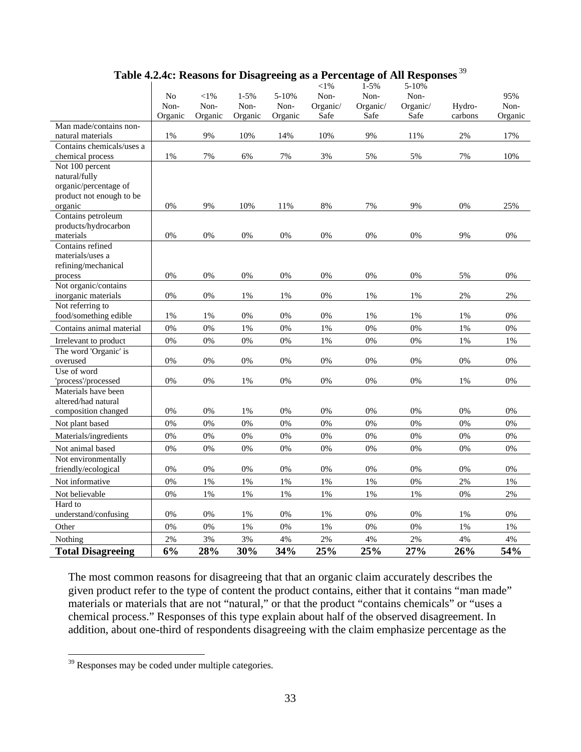|                                               | No<br>Non-<br>Organic | $<$ 1%<br>Non-<br>Organic | $1 - 5%$<br>Non-<br>Organic | 5-10%<br>Non-<br>Organic | $<\!\!1\%$<br>Non-<br>Organic/<br>Safe | $1-5%$<br>Non-<br>Organic/<br>Safe | 5-10%<br>Non-<br>Organic/<br>Safe | Hydro-<br>carbons | 95%<br>Non-<br>Organic |
|-----------------------------------------------|-----------------------|---------------------------|-----------------------------|--------------------------|----------------------------------------|------------------------------------|-----------------------------------|-------------------|------------------------|
| Man made/contains non-                        |                       |                           |                             |                          |                                        |                                    |                                   |                   |                        |
| natural materials                             | 1%                    | 9%                        | 10%                         | 14%                      | 10%                                    | 9%                                 | 11%                               | 2%                | 17%                    |
| Contains chemicals/uses a<br>chemical process | $1\%$                 | 7%                        | 6%                          | 7%                       | 3%                                     | 5%                                 | 5%                                | 7%                | 10%                    |
| Not 100 percent                               |                       |                           |                             |                          |                                        |                                    |                                   |                   |                        |
| natural/fully                                 |                       |                           |                             |                          |                                        |                                    |                                   |                   |                        |
| organic/percentage of                         |                       |                           |                             |                          |                                        |                                    |                                   |                   |                        |
| product not enough to be                      |                       |                           |                             |                          |                                        |                                    |                                   |                   |                        |
| organic                                       | 0%                    | 9%                        | 10%                         | 11%                      | 8%                                     | 7%                                 | 9%                                | 0%                | 25%                    |
| Contains petroleum                            |                       |                           |                             |                          |                                        |                                    |                                   |                   |                        |
| products/hydrocarbon                          |                       |                           |                             |                          |                                        |                                    |                                   |                   |                        |
| materials                                     | 0%                    | 0%                        | 0%                          | 0%                       | 0%                                     | $0\%$                              | $0\%$                             | 9%                | 0%                     |
| Contains refined                              |                       |                           |                             |                          |                                        |                                    |                                   |                   |                        |
| materials/uses a                              |                       |                           |                             |                          |                                        |                                    |                                   |                   |                        |
| refining/mechanical                           |                       |                           |                             |                          |                                        |                                    |                                   |                   |                        |
| process                                       | 0%                    | 0%                        | 0%                          | 0%                       | 0%                                     | 0%                                 | 0%                                | 5%                | 0%                     |
| Not organic/contains<br>inorganic materials   | 0%                    | 0%                        | $1\%$                       | 1%                       | 0%                                     | 1%                                 | 1%                                | 2%                | 2%                     |
| Not referring to                              |                       |                           |                             |                          |                                        |                                    |                                   |                   |                        |
| food/something edible                         | 1%                    | 1%                        | 0%                          | 0%                       | 0%                                     | 1%                                 | 1%                                | 1%                | 0%                     |
| Contains animal material                      | $0\%$                 | 0%                        | 1%                          | 0%                       | $1\%$                                  | 0%                                 | 0%                                | $1\%$             | 0%                     |
| Irrelevant to product                         | 0%                    | 0%                        | 0%                          | 0%                       | 1%                                     | 0%                                 | 0%                                | 1%                | 1%                     |
| The word 'Organic' is                         |                       |                           |                             |                          |                                        |                                    |                                   |                   |                        |
| overused                                      | 0%                    | 0%                        | 0%                          | 0%                       | 0%                                     | 0%                                 | 0%                                | $0\%$             | 0%                     |
| Use of word                                   |                       |                           |                             |                          |                                        |                                    |                                   |                   |                        |
| 'process'/processed                           | 0%                    | 0%                        | 1%                          | 0%                       | 0%                                     | 0%                                 | 0%                                | 1%                | 0%                     |
| Materials have been                           |                       |                           |                             |                          |                                        |                                    |                                   |                   |                        |
| altered/had natural                           |                       |                           |                             |                          |                                        |                                    |                                   |                   |                        |
| composition changed                           | 0%                    | 0%                        | 1%                          | 0%                       | 0%                                     | 0%                                 | 0%                                | 0%                | 0%                     |
| Not plant based                               | 0%                    | 0%                        | 0%                          | 0%                       | $0\%$                                  | 0%                                 | 0%                                | 0%                | 0%                     |
| Materials/ingredients                         | 0%                    | 0%                        | 0%                          | 0%                       | 0%                                     | 0%                                 | 0%                                | $0\%$             | 0%                     |
| Not animal based                              | 0%                    | 0%                        | 0%                          | 0%                       | 0%                                     | 0%                                 | 0%                                | 0%                | 0%                     |
| Not environmentally                           |                       |                           |                             |                          |                                        |                                    |                                   |                   |                        |
| friendly/ecological                           | 0%                    | 0%                        | 0%                          | $0\%$                    | 0%                                     | 0%                                 | 0%                                | 0%                | 0%                     |
| Not informative                               | 0%                    | 1%                        | $1\%$                       | $1\%$                    | $1\%$                                  | 1%                                 | 0%                                | 2%                | 1%                     |
| Not believable                                | 0%                    | 1%                        | 1%                          | 1%                       | 1%                                     | 1%                                 | 1%                                | 0%                | 2%                     |
| Hard to<br>understand/confusing               | 0%                    | 0%                        | 1%                          | 0%                       | 1%                                     | 0%                                 | 0%                                | 1%                | 0%                     |
| Other                                         | 0%                    | 0%                        | 1%                          | 0%                       | $1\%$                                  | 0%                                 | 0%                                | 1%                | $1\%$                  |
|                                               |                       | 3%                        | 3%                          | 4%                       | $2\%$                                  | $4\%$                              | $2\%$                             | 4%                | 4%                     |
| Nothing<br><b>Total Disagreeing</b>           | 2%<br>6%              | 28%                       | 30%                         | 34%                      | 25%                                    | 25%                                | 27%                               | 26%               | 54%                    |

# **Table 4.2.4c: Reasons for Disagreeing as a Percentage of All Responses**<sup>39</sup>

The most common reasons for disagreeing that that an organic claim accurately describes the given product refer to the type of content the product contains, either that it contains "man made" materials or materials that are not "natural," or that the product "contains chemicals" or "uses a chemical process." Responses of this type explain about half of the observed disagreement. In addition, about one-third of respondents disagreeing with the claim emphasize percentage as the

 $39$  Responses may be coded under multiple categories.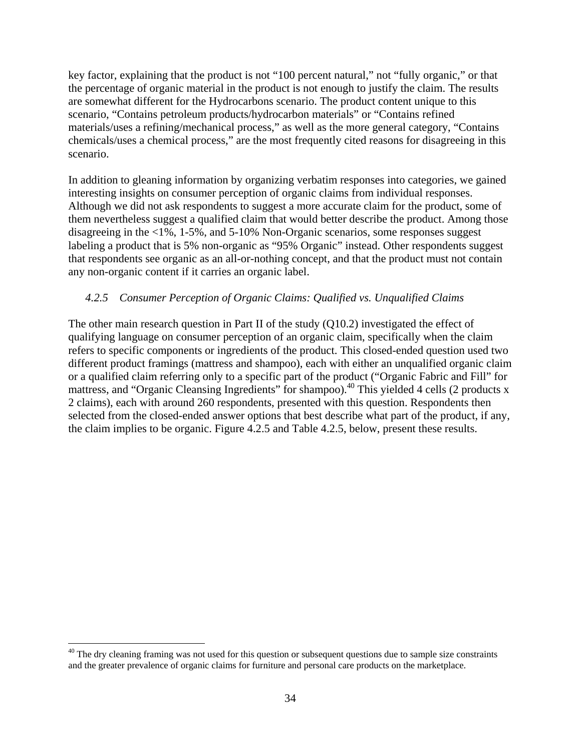key factor, explaining that the product is not "100 percent natural," not "fully organic," or that the percentage of organic material in the product is not enough to justify the claim. The results are somewhat different for the Hydrocarbons scenario. The product content unique to this scenario, "Contains petroleum products/hydrocarbon materials" or "Contains refined materials/uses a refining/mechanical process," as well as the more general category, "Contains chemicals/uses a chemical process," are the most frequently cited reasons for disagreeing in this scenario.

In addition to gleaning information by organizing verbatim responses into categories, we gained interesting insights on consumer perception of organic claims from individual responses. Although we did not ask respondents to suggest a more accurate claim for the product, some of them nevertheless suggest a qualified claim that would better describe the product. Among those disagreeing in the <1%, 1-5%, and 5-10% Non-Organic scenarios, some responses suggest labeling a product that is 5% non-organic as "95% Organic" instead. Other respondents suggest that respondents see organic as an all-or-nothing concept, and that the product must not contain any non-organic content if it carries an organic label.

# *4.2.5 Consumer Perception of Organic Claims: Qualified vs. Unqualified Claims*

The other main research question in Part II of the study (Q10.2) investigated the effect of qualifying language on consumer perception of an organic claim, specifically when the claim refers to specific components or ingredients of the product. This closed-ended question used two different product framings (mattress and shampoo), each with either an unqualified organic claim or a qualified claim referring only to a specific part of the product ("Organic Fabric and Fill" for mattress, and "Organic Cleansing Ingredients" for shampoo).<sup>40</sup> This yielded 4 cells (2 products x 2 claims), each with around 260 respondents, presented with this question. Respondents then selected from the closed-ended answer options that best describe what part of the product, if any, the claim implies to be organic. Figure 4.2.5 and Table 4.2.5, below, present these results.

 $40$  The dry cleaning framing was not used for this question or subsequent questions due to sample size constraints and the greater prevalence of organic claims for furniture and personal care products on the marketplace.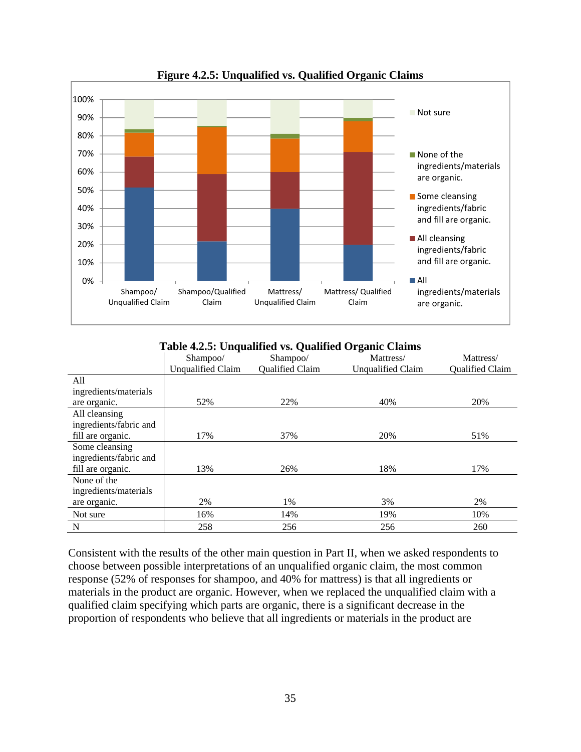

**Figure 4.2.5: Unqualified vs. Qualified Organic Claims**

|  |  |  | Table 4.2.5: Unqualified vs. Qualified Organic Claims |
|--|--|--|-------------------------------------------------------|
|--|--|--|-------------------------------------------------------|

|                        | Shampoo/                 | Shampoo/        | Mattress/                | Mattress/       |
|------------------------|--------------------------|-----------------|--------------------------|-----------------|
|                        | <b>Unqualified Claim</b> | Qualified Claim | <b>Unqualified Claim</b> | Qualified Claim |
| All                    |                          |                 |                          |                 |
| ingredients/materials  |                          |                 |                          |                 |
| are organic.           | 52%                      | 22%             | 40%                      | 20%             |
| All cleansing          |                          |                 |                          |                 |
| ingredients/fabric and |                          |                 |                          |                 |
| fill are organic.      | 17%                      | 37%             | 20%                      | 51%             |
| Some cleansing         |                          |                 |                          |                 |
| ingredients/fabric and |                          |                 |                          |                 |
| fill are organic.      | 13%                      | 26%             | 18%                      | 17%             |
| None of the            |                          |                 |                          |                 |
| ingredients/materials  |                          |                 |                          |                 |
| are organic.           | 2%                       | 1%              | 3%                       | 2%              |
| Not sure               | 16%                      | 14%             | 19%                      | 10%             |
| N                      | 258                      | 256             | 256                      | 260             |

Consistent with the results of the other main question in Part II, when we asked respondents to choose between possible interpretations of an unqualified organic claim, the most common response (52% of responses for shampoo, and 40% for mattress) is that all ingredients or materials in the product are organic. However, when we replaced the unqualified claim with a qualified claim specifying which parts are organic, there is a significant decrease in the proportion of respondents who believe that all ingredients or materials in the product are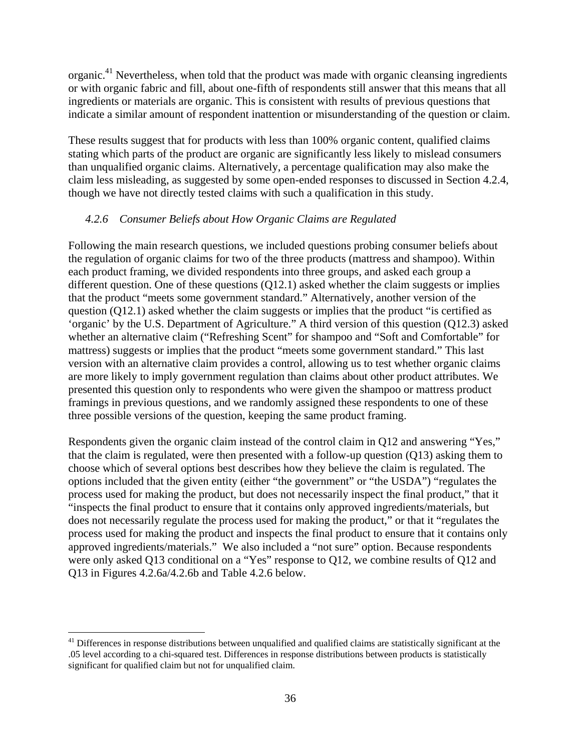organic.41 Nevertheless, when told that the product was made with organic cleansing ingredients or with organic fabric and fill, about one-fifth of respondents still answer that this means that all ingredients or materials are organic. This is consistent with results of previous questions that indicate a similar amount of respondent inattention or misunderstanding of the question or claim.

These results suggest that for products with less than 100% organic content, qualified claims stating which parts of the product are organic are significantly less likely to mislead consumers than unqualified organic claims. Alternatively, a percentage qualification may also make the claim less misleading, as suggested by some open-ended responses to discussed in Section 4.2.4, though we have not directly tested claims with such a qualification in this study.

#### *4.2.6 Consumer Beliefs about How Organic Claims are Regulated*

Following the main research questions, we included questions probing consumer beliefs about the regulation of organic claims for two of the three products (mattress and shampoo). Within each product framing, we divided respondents into three groups, and asked each group a different question. One of these questions (Q12.1) asked whether the claim suggests or implies that the product "meets some government standard." Alternatively, another version of the question (Q12.1) asked whether the claim suggests or implies that the product "is certified as 'organic' by the U.S. Department of Agriculture." A third version of this question (Q12.3) asked whether an alternative claim ("Refreshing Scent" for shampoo and "Soft and Comfortable" for mattress) suggests or implies that the product "meets some government standard." This last version with an alternative claim provides a control, allowing us to test whether organic claims are more likely to imply government regulation than claims about other product attributes. We presented this question only to respondents who were given the shampoo or mattress product framings in previous questions, and we randomly assigned these respondents to one of these three possible versions of the question, keeping the same product framing.

Respondents given the organic claim instead of the control claim in Q12 and answering "Yes," that the claim is regulated, were then presented with a follow-up question (Q13) asking them to choose which of several options best describes how they believe the claim is regulated. The options included that the given entity (either "the government" or "the USDA") "regulates the process used for making the product, but does not necessarily inspect the final product," that it "inspects the final product to ensure that it contains only approved ingredients/materials, but does not necessarily regulate the process used for making the product," or that it "regulates the process used for making the product and inspects the final product to ensure that it contains only approved ingredients/materials." We also included a "not sure" option. Because respondents were only asked Q13 conditional on a "Yes" response to Q12, we combine results of Q12 and Q13 in Figures 4.2.6a/4.2.6b and Table 4.2.6 below.

 $41$  Differences in response distributions between unqualified and qualified claims are statistically significant at the .05 level according to a chi-squared test. Differences in response distributions between products is statistically significant for qualified claim but not for unqualified claim.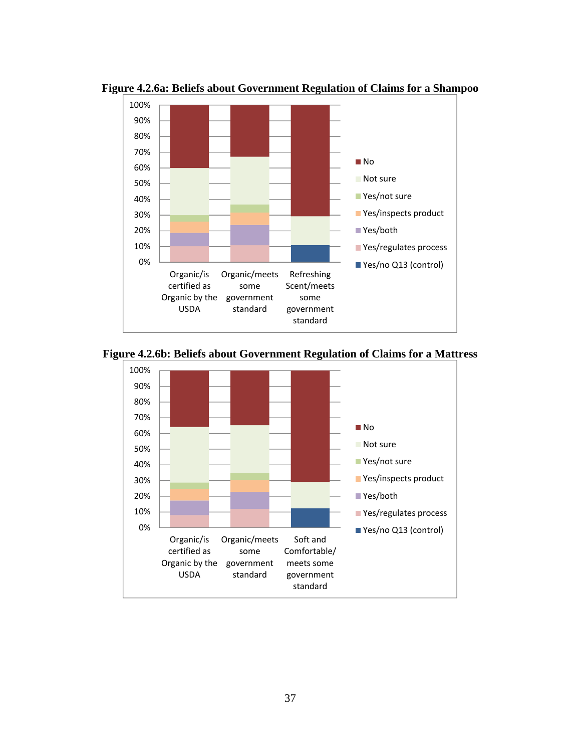

**Figure 4.2.6a: Beliefs about Government Regulation of Claims for a Shampoo** 



**Figure 4.2.6b: Beliefs about Government Regulation of Claims for a Mattress**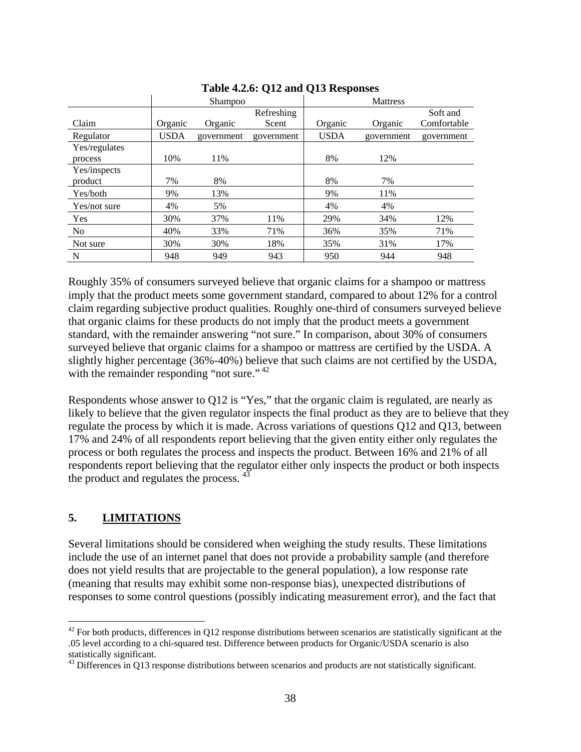|                | Shampoo     |            |            | <b>Mattress</b> |            |             |  |
|----------------|-------------|------------|------------|-----------------|------------|-------------|--|
|                |             |            | Refreshing |                 |            | Soft and    |  |
| Claim          | Organic     | Organic    | Scent      | Organic         | Organic    | Comfortable |  |
| Regulator      | <b>USDA</b> | government | government | <b>USDA</b>     | government | government  |  |
| Yes/regulates  |             |            |            |                 |            |             |  |
| process        | 10%         | 11%        |            | 8%              | 12%        |             |  |
| Yes/inspects   |             |            |            |                 |            |             |  |
| product        | 7%          | 8%         |            | 8%              | 7%         |             |  |
| Yes/both       | 9%          | 13%        |            | 9%              | 11%        |             |  |
| Yes/not sure   | 4%          | 5%         |            | 4%              | 4%         |             |  |
| Yes            | 30%         | 37%        | 11%        | 29%             | 34%        | 12%         |  |
| N <sub>o</sub> | 40%         | 33%        | 71%        | 36%             | 35%        | 71%         |  |
| Not sure       | 30%         | 30%        | 18%        | 35%             | 31%        | 17%         |  |
| N              | 948         | 949        | 943        | 950             | 944        | 948         |  |

#### **Table 4.2.6: Q12 and Q13 Responses**

Roughly 35% of consumers surveyed believe that organic claims for a shampoo or mattress imply that the product meets some government standard, compared to about 12% for a control claim regarding subjective product qualities. Roughly one-third of consumers surveyed believe that organic claims for these products do not imply that the product meets a government standard, with the remainder answering "not sure." In comparison, about 30% of consumers surveyed believe that organic claims for a shampoo or mattress are certified by the USDA. A slightly higher percentage (36%-40%) believe that such claims are not certified by the USDA, with the remainder responding "not sure."  $42$ 

Respondents whose answer to Q12 is "Yes," that the organic claim is regulated, are nearly as likely to believe that the given regulator inspects the final product as they are to believe that they regulate the process by which it is made. Across variations of questions Q12 and Q13, between 17% and 24% of all respondents report believing that the given entity either only regulates the process or both regulates the process and inspects the product. Between 16% and 21% of all respondents report believing that the regulator either only inspects the product or both inspects the product and regulates the process. <sup>43</sup>

## **5. LIMITATIONS**

 $\overline{a}$ 

Several limitations should be considered when weighing the study results. These limitations include the use of an internet panel that does not provide a probability sample (and therefore does not yield results that are projectable to the general population), a low response rate (meaning that results may exhibit some non-response bias), unexpected distributions of responses to some control questions (possibly indicating measurement error), and the fact that

 $42$  For both products, differences in Q12 response distributions between scenarios are statistically significant at the .05 level according to a chi-squared test. Difference between products for Organic/USDA scenario is also statistically significant.

 $43$  Differences in Q13 response distributions between scenarios and products are not statistically significant.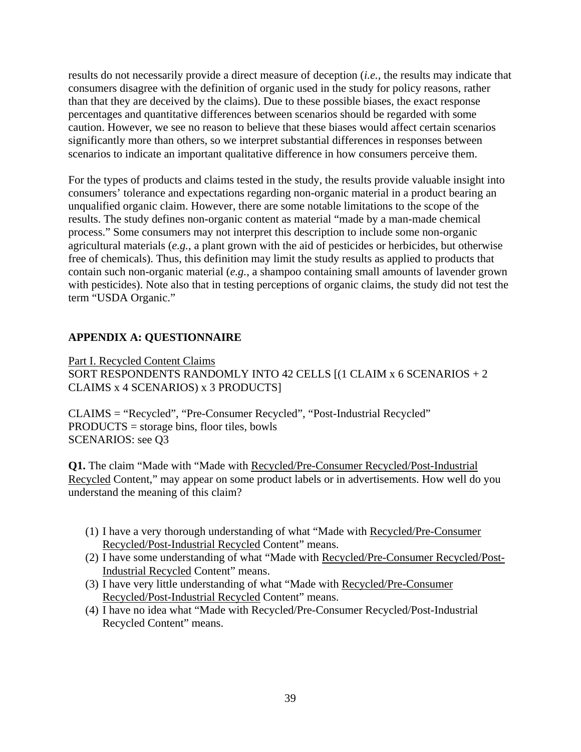results do not necessarily provide a direct measure of deception (*i.e.*, the results may indicate that consumers disagree with the definition of organic used in the study for policy reasons, rather than that they are deceived by the claims). Due to these possible biases, the exact response percentages and quantitative differences between scenarios should be regarded with some caution. However, we see no reason to believe that these biases would affect certain scenarios significantly more than others, so we interpret substantial differences in responses between scenarios to indicate an important qualitative difference in how consumers perceive them.

For the types of products and claims tested in the study, the results provide valuable insight into consumers' tolerance and expectations regarding non-organic material in a product bearing an unqualified organic claim. However, there are some notable limitations to the scope of the results. The study defines non-organic content as material "made by a man-made chemical process." Some consumers may not interpret this description to include some non-organic agricultural materials (*e.g.*, a plant grown with the aid of pesticides or herbicides, but otherwise free of chemicals). Thus, this definition may limit the study results as applied to products that contain such non-organic material (*e.g.*, a shampoo containing small amounts of lavender grown with pesticides). Note also that in testing perceptions of organic claims, the study did not test the term "USDA Organic."

# **APPENDIX A: QUESTIONNAIRE**

Part I. Recycled Content Claims SORT RESPONDENTS RANDOMLY INTO 42 CELLS [(1 CLAIM x 6 SCENARIOS + 2 CLAIMS x 4 SCENARIOS) x 3 PRODUCTS]

CLAIMS = "Recycled", "Pre-Consumer Recycled", "Post-Industrial Recycled" PRODUCTS = storage bins, floor tiles, bowls SCENARIOS: see Q3

**Q1.** The claim "Made with "Made with Recycled/Pre-Consumer Recycled/Post-Industrial Recycled Content," may appear on some product labels or in advertisements. How well do you understand the meaning of this claim?

- (1) I have a very thorough understanding of what "Made with Recycled/Pre-Consumer Recycled/Post-Industrial Recycled Content" means.
- (2) I have some understanding of what "Made with Recycled/Pre-Consumer Recycled/Post-Industrial Recycled Content" means.
- (3) I have very little understanding of what "Made with Recycled/Pre-Consumer Recycled/Post-Industrial Recycled Content" means.
- (4) I have no idea what "Made with Recycled/Pre-Consumer Recycled/Post-Industrial Recycled Content" means.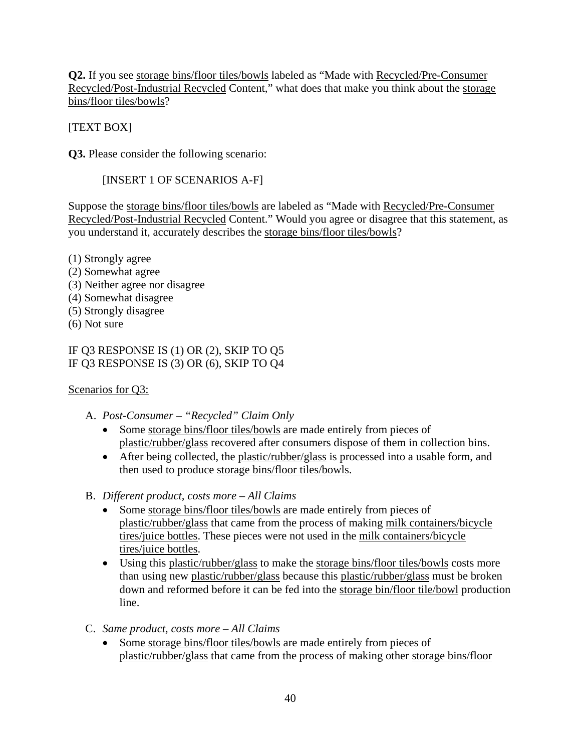**Q2.** If you see storage bins/floor tiles/bowls labeled as "Made with Recycled/Pre-Consumer Recycled/Post-Industrial Recycled Content," what does that make you think about the storage bins/floor tiles/bowls?

[TEXT BOX]

**Q3.** Please consider the following scenario:

[INSERT 1 OF SCENARIOS A-F]

Suppose the storage bins/floor tiles/bowls are labeled as "Made with Recycled/Pre-Consumer Recycled/Post-Industrial Recycled Content." Would you agree or disagree that this statement, as you understand it, accurately describes the storage bins/floor tiles/bowls?

- (1) Strongly agree
- (2) Somewhat agree
- (3) Neither agree nor disagree
- (4) Somewhat disagree
- (5) Strongly disagree
- (6) Not sure

# IF Q3 RESPONSE IS (1) OR (2), SKIP TO Q5 IF Q3 RESPONSE IS (3) OR (6), SKIP TO Q4

# Scenarios for Q3:

- A. *Post-Consumer "Recycled" Claim Only*
	- Some storage bins/floor tiles/bowls are made entirely from pieces of plastic/rubber/glass recovered after consumers dispose of them in collection bins.
	- After being collected, the plastic/rubber/glass is processed into a usable form, and then used to produce storage bins/floor tiles/bowls.
- B. *Different product, costs more All Claims*
	- Some storage bins/floor tiles/bowls are made entirely from pieces of plastic/rubber/glass that came from the process of making milk containers/bicycle tires/juice bottles. These pieces were not used in the milk containers/bicycle tires/juice bottles.
	- Using this plastic/rubber/glass to make the storage bins/floor tiles/bowls costs more than using new plastic/rubber/glass because this plastic/rubber/glass must be broken down and reformed before it can be fed into the storage bin/floor tile/bowl production line.
- C. *Same product, costs more All Claims*
	- Some storage bins/floor tiles/bowls are made entirely from pieces of plastic/rubber/glass that came from the process of making other storage bins/floor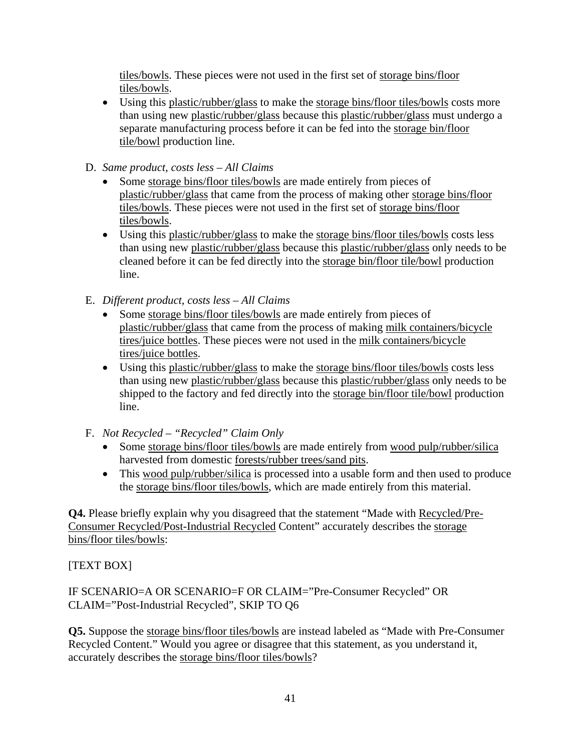tiles/bowls. These pieces were not used in the first set of storage bins/floor tiles/bowls.

 Using this plastic/rubber/glass to make the storage bins/floor tiles/bowls costs more than using new plastic/rubber/glass because this plastic/rubber/glass must undergo a separate manufacturing process before it can be fed into the storage bin/floor tile/bowl production line.

# D. *Same product, costs less – All Claims*

- Some storage bins/floor tiles/bowls are made entirely from pieces of plastic/rubber/glass that came from the process of making other storage bins/floor tiles/bowls. These pieces were not used in the first set of storage bins/floor tiles/bowls.
- Using this plastic/rubber/glass to make the storage bins/floor tiles/bowls costs less than using new plastic/rubber/glass because this plastic/rubber/glass only needs to be cleaned before it can be fed directly into the storage bin/floor tile/bowl production line.
- E. *Different product, costs less All Claims*
	- Some storage bins/floor tiles/bowls are made entirely from pieces of plastic/rubber/glass that came from the process of making milk containers/bicycle tires/juice bottles. These pieces were not used in the milk containers/bicycle tires/juice bottles.
	- Using this plastic/rubber/glass to make the storage bins/floor tiles/bowls costs less than using new plastic/rubber/glass because this plastic/rubber/glass only needs to be shipped to the factory and fed directly into the storage bin/floor tile/bowl production line.
- F. *Not Recycled "Recycled" Claim Only*
	- Some storage bins/floor tiles/bowls are made entirely from wood pulp/rubber/silica harvested from domestic forests/rubber trees/sand pits.
	- This wood pulp/rubber/silica is processed into a usable form and then used to produce the storage bins/floor tiles/bowls, which are made entirely from this material.

**Q4.** Please briefly explain why you disagreed that the statement "Made with Recycled/Pre-Consumer Recycled/Post-Industrial Recycled Content" accurately describes the storage bins/floor tiles/bowls:

# [TEXT BOX]

IF SCENARIO=A OR SCENARIO=F OR CLAIM="Pre-Consumer Recycled" OR CLAIM="Post-Industrial Recycled", SKIP TO Q6

**Q5.** Suppose the storage bins/floor tiles/bowls are instead labeled as "Made with Pre-Consumer Recycled Content." Would you agree or disagree that this statement, as you understand it, accurately describes the storage bins/floor tiles/bowls?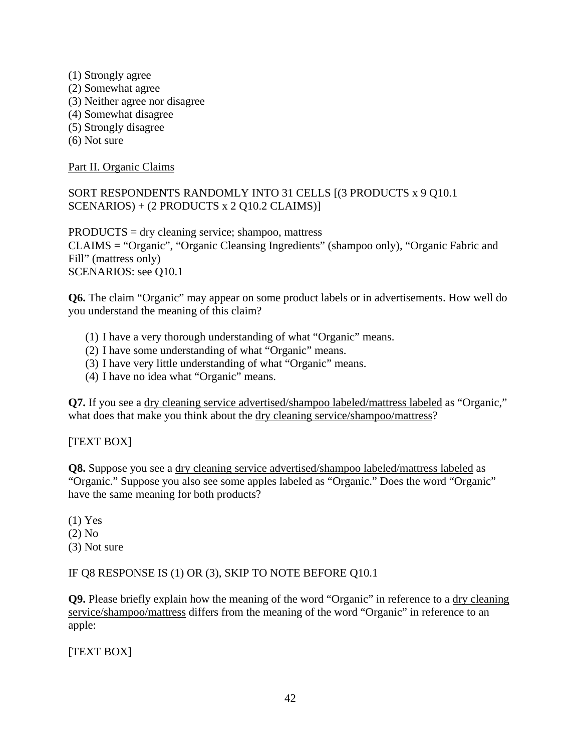- (1) Strongly agree (2) Somewhat agree (3) Neither agree nor disagree (4) Somewhat disagree (5) Strongly disagree
- (6) Not sure

Part II. Organic Claims

# SORT RESPONDENTS RANDOMLY INTO 31 CELLS [(3 PRODUCTS x 9 Q10.1 SCENARIOS) + (2 PRODUCTS x 2 Q10.2 CLAIMS)]

PRODUCTS = dry cleaning service; shampoo, mattress CLAIMS = "Organic", "Organic Cleansing Ingredients" (shampoo only), "Organic Fabric and Fill" (mattress only) SCENARIOS: see Q10.1

**Q6.** The claim "Organic" may appear on some product labels or in advertisements. How well do you understand the meaning of this claim?

- (1) I have a very thorough understanding of what "Organic" means.
- (2) I have some understanding of what "Organic" means.
- (3) I have very little understanding of what "Organic" means.
- (4) I have no idea what "Organic" means.

**Q7.** If you see a dry cleaning service advertised/shampoo labeled/mattress labeled as "Organic," what does that make you think about the dry cleaning service/shampoo/mattress?

## [TEXT BOX]

**Q8.** Suppose you see a dry cleaning service advertised/shampoo labeled/mattress labeled as "Organic." Suppose you also see some apples labeled as "Organic." Does the word "Organic" have the same meaning for both products?

(1) Yes (2) No (3) Not sure

#### IF Q8 RESPONSE IS (1) OR (3), SKIP TO NOTE BEFORE Q10.1

**Q9.** Please briefly explain how the meaning of the word "Organic" in reference to a dry cleaning service/shampoo/mattress differs from the meaning of the word "Organic" in reference to an apple:

[TEXT BOX]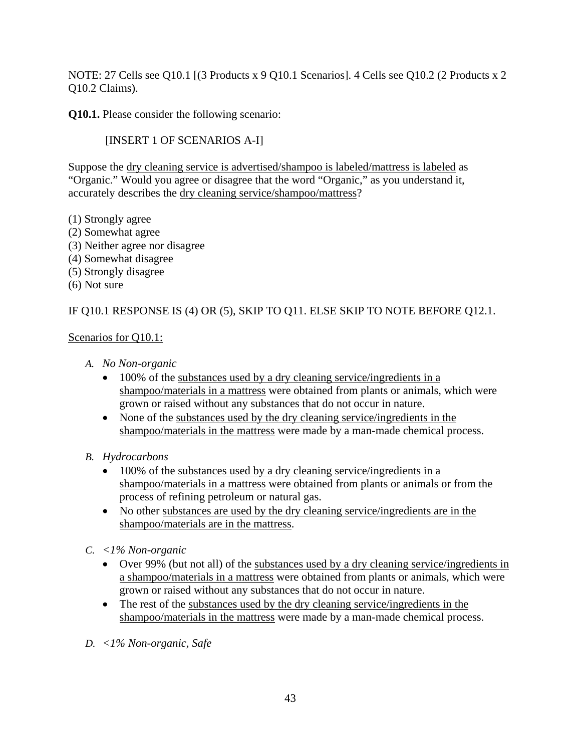NOTE: 27 Cells see Q10.1 [(3 Products x 9 Q10.1 Scenarios]. 4 Cells see Q10.2 (2 Products x 2 Q10.2 Claims).

**Q10.1.** Please consider the following scenario:

[INSERT 1 OF SCENARIOS A-I]

Suppose the dry cleaning service is advertised/shampoo is labeled/mattress is labeled as "Organic." Would you agree or disagree that the word "Organic," as you understand it, accurately describes the dry cleaning service/shampoo/mattress?

- (1) Strongly agree
- (2) Somewhat agree
- (3) Neither agree nor disagree
- (4) Somewhat disagree
- (5) Strongly disagree
- (6) Not sure

# IF Q10.1 RESPONSE IS (4) OR (5), SKIP TO Q11. ELSE SKIP TO NOTE BEFORE Q12.1.

## Scenarios for Q10.1:

- *A. No Non-organic* 
	- 100% of the substances used by a dry cleaning service/ingredients in a shampoo/materials in a mattress were obtained from plants or animals, which were grown or raised without any substances that do not occur in nature.
	- None of the substances used by the dry cleaning service/ingredients in the shampoo/materials in the mattress were made by a man-made chemical process.
- *B. Hydrocarbons* 
	- 100% of the substances used by a dry cleaning service/ingredients in a shampoo/materials in a mattress were obtained from plants or animals or from the process of refining petroleum or natural gas.
	- No other substances are used by the dry cleaning service/ingredients are in the shampoo/materials are in the mattress.
- *C. <1% Non-organic* 
	- Over 99% (but not all) of the substances used by a dry cleaning service/ingredients in a shampoo/materials in a mattress were obtained from plants or animals, which were grown or raised without any substances that do not occur in nature.
	- The rest of the substances used by the dry cleaning service/ingredients in the shampoo/materials in the mattress were made by a man-made chemical process.
- *D. <1% Non-organic, Safe*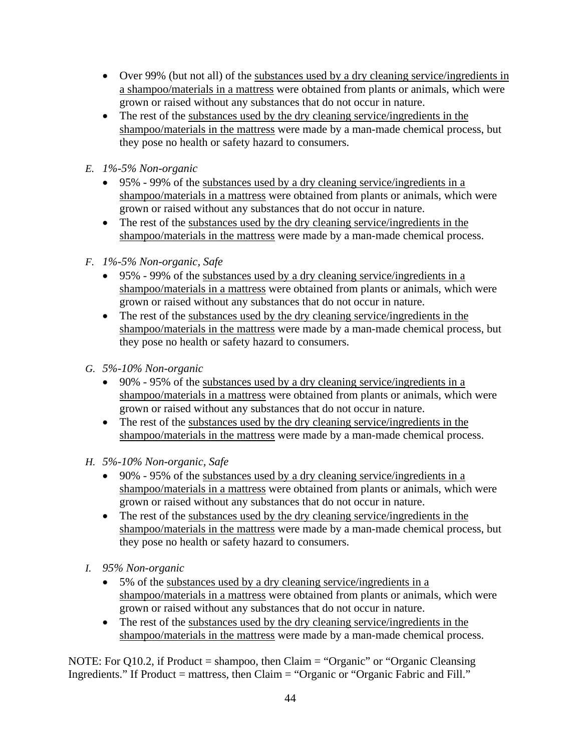- Over 99% (but not all) of the substances used by a dry cleaning service/ingredients in a shampoo/materials in a mattress were obtained from plants or animals, which were grown or raised without any substances that do not occur in nature.
- The rest of the substances used by the dry cleaning service/ingredients in the shampoo/materials in the mattress were made by a man-made chemical process, but they pose no health or safety hazard to consumers.
- *E. 1%-5% Non-organic* 
	- $\bullet$  95% 99% of the substances used by a dry cleaning service/ingredients in a shampoo/materials in a mattress were obtained from plants or animals, which were grown or raised without any substances that do not occur in nature.
	- The rest of the substances used by the dry cleaning service/ingredients in the shampoo/materials in the mattress were made by a man-made chemical process.
- *F. 1%-5% Non-organic, Safe* 
	- 95% 99% of the substances used by a dry cleaning service/ingredients in a shampoo/materials in a mattress were obtained from plants or animals, which were grown or raised without any substances that do not occur in nature.
	- The rest of the substances used by the dry cleaning service/ingredients in the shampoo/materials in the mattress were made by a man-made chemical process, but they pose no health or safety hazard to consumers.
- *G. 5%-10% Non-organic* 
	- 90% 95% of the substances used by a dry cleaning service/ingredients in a shampoo/materials in a mattress were obtained from plants or animals, which were grown or raised without any substances that do not occur in nature.
	- The rest of the substances used by the dry cleaning service/ingredients in the shampoo/materials in the mattress were made by a man-made chemical process.
- *H. 5%-10% Non-organic, Safe* 
	- 90% 95% of the substances used by a dry cleaning service/ingredients in a shampoo/materials in a mattress were obtained from plants or animals, which were grown or raised without any substances that do not occur in nature.
	- The rest of the substances used by the dry cleaning service/ingredients in the shampoo/materials in the mattress were made by a man-made chemical process, but they pose no health or safety hazard to consumers.
- *I. 95% Non-organic* 
	- 5% of the substances used by a dry cleaning service/ingredients in a shampoo/materials in a mattress were obtained from plants or animals, which were grown or raised without any substances that do not occur in nature.
	- The rest of the substances used by the dry cleaning service/ingredients in the shampoo/materials in the mattress were made by a man-made chemical process.

NOTE: For Q10.2, if Product = shampoo, then Claim = "Organic" or "Organic Cleansing Ingredients." If Product = mattress, then  $Claim = "Organic or "Organic Fabric and Fill."$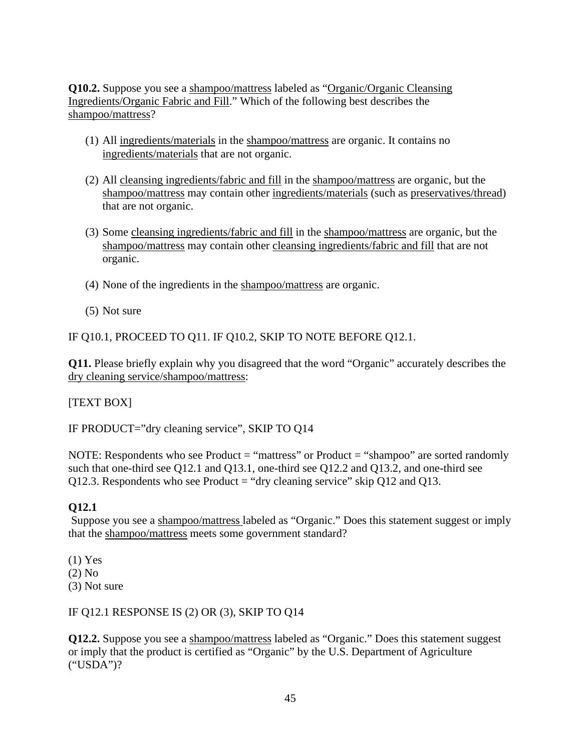**Q10.2.** Suppose you see a shampoo/mattress labeled as "Organic/Organic Cleansing Ingredients/Organic Fabric and Fill." Which of the following best describes the shampoo/mattress?

- (1) All ingredients/materials in the shampoo/mattress are organic. It contains no ingredients/materials that are not organic.
- (2) All cleansing ingredients/fabric and fill in the shampoo/mattress are organic, but the shampoo/mattress may contain other ingredients/materials (such as preservatives/thread) that are not organic.
- (3) Some cleansing ingredients/fabric and fill in the shampoo/mattress are organic, but the shampoo/mattress may contain other cleansing ingredients/fabric and fill that are not organic.
- (4) None of the ingredients in the shampoo/mattress are organic.
- (5) Not sure

IF Q10.1, PROCEED TO Q11. IF Q10.2, SKIP TO NOTE BEFORE Q12.1.

**Q11.** Please briefly explain why you disagreed that the word "Organic" accurately describes the dry cleaning service/shampoo/mattress:

[TEXT BOX]

IF PRODUCT="dry cleaning service", SKIP TO Q14

NOTE: Respondents who see Product = "mattress" or Product = "shampoo" are sorted randomly such that one-third see Q12.1 and Q13.1, one-third see Q12.2 and Q13.2, and one-third see Q12.3. Respondents who see Product  $=$  "dry cleaning service" skip Q12 and Q13.

## **Q12.1**

Suppose you see a shampoo/mattress labeled as "Organic." Does this statement suggest or imply that the shampoo/mattress meets some government standard?

(1) Yes (2) No

(3) Not sure

IF Q12.1 RESPONSE IS (2) OR (3), SKIP TO Q14

**Q12.2.** Suppose you see a shampoo/mattress labeled as "Organic." Does this statement suggest or imply that the product is certified as "Organic" by the U.S. Department of Agriculture ("USDA")?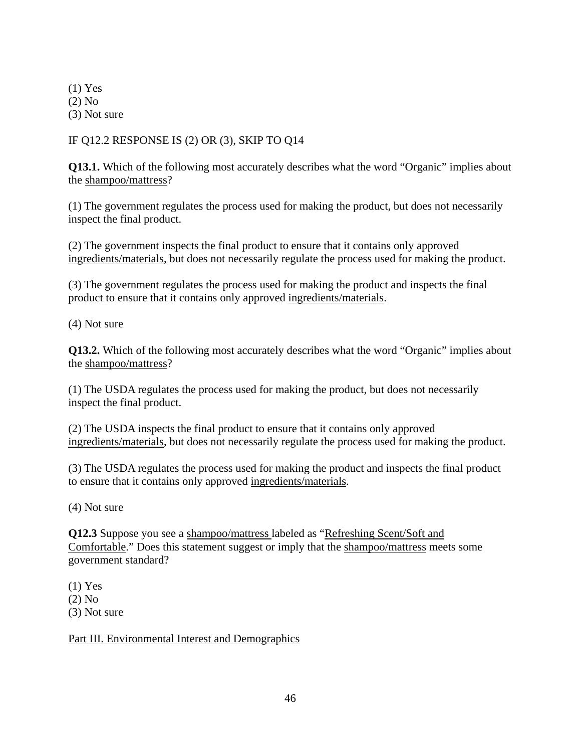(1) Yes (2) No (3) Not sure

# IF Q12.2 RESPONSE IS (2) OR (3), SKIP TO Q14

**Q13.1.** Which of the following most accurately describes what the word "Organic" implies about the shampoo/mattress?

(1) The government regulates the process used for making the product, but does not necessarily inspect the final product.

(2) The government inspects the final product to ensure that it contains only approved ingredients/materials, but does not necessarily regulate the process used for making the product.

(3) The government regulates the process used for making the product and inspects the final product to ensure that it contains only approved ingredients/materials.

(4) Not sure

**Q13.2.** Which of the following most accurately describes what the word "Organic" implies about the shampoo/mattress?

(1) The USDA regulates the process used for making the product, but does not necessarily inspect the final product.

(2) The USDA inspects the final product to ensure that it contains only approved ingredients/materials, but does not necessarily regulate the process used for making the product.

(3) The USDA regulates the process used for making the product and inspects the final product to ensure that it contains only approved ingredients/materials.

(4) Not sure

**Q12.3** Suppose you see a shampoo/mattress labeled as "Refreshing Scent/Soft and Comfortable." Does this statement suggest or imply that the shampoo/mattress meets some government standard?

(1) Yes

(2) No

(3) Not sure

Part III. Environmental Interest and Demographics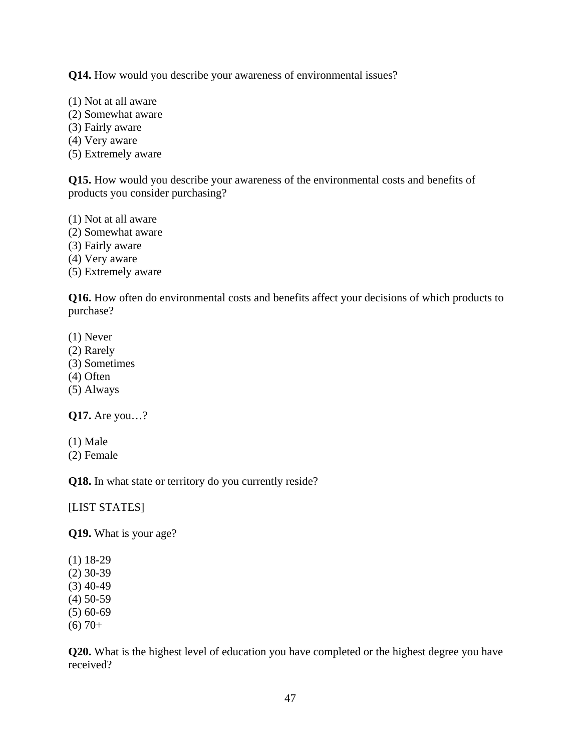**Q14.** How would you describe your awareness of environmental issues?

- (1) Not at all aware
- (2) Somewhat aware
- (3) Fairly aware
- (4) Very aware
- (5) Extremely aware

**Q15.** How would you describe your awareness of the environmental costs and benefits of products you consider purchasing?

(1) Not at all aware

- (2) Somewhat aware
- (3) Fairly aware
- (4) Very aware

(5) Extremely aware

**Q16.** How often do environmental costs and benefits affect your decisions of which products to purchase?

- (1) Never
- (2) Rarely
- (3) Sometimes
- (4) Often
- (5) Always

**Q17.** Are you…?

- (1) Male
- (2) Female

**Q18.** In what state or territory do you currently reside?

[LIST STATES]

**Q19.** What is your age?

- (1) 18-29
- (2) 30-39
- $(3)$  40-49
- (4) 50-59
- (5) 60-69  $(6)$  70+

**Q20.** What is the highest level of education you have completed or the highest degree you have received?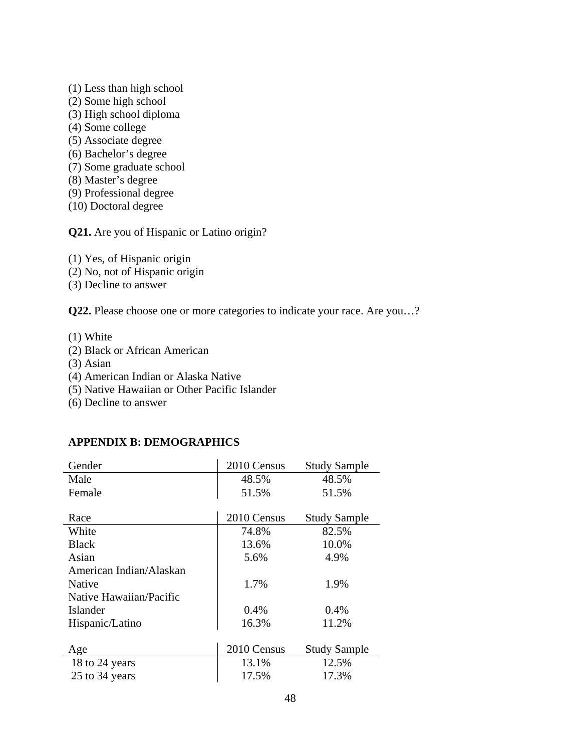- (1) Less than high school
- (2) Some high school
- (3) High school diploma
- (4) Some college
- (5) Associate degree
- (6) Bachelor's degree
- (7) Some graduate school
- (8) Master's degree
- (9) Professional degree
- (10) Doctoral degree

**Q21.** Are you of Hispanic or Latino origin?

(1) Yes, of Hispanic origin

- (2) No, not of Hispanic origin
- (3) Decline to answer

**Q22.** Please choose one or more categories to indicate your race. Are you…?

(1) White

- (2) Black or African American
- (3) Asian
- (4) American Indian or Alaska Native
- (5) Native Hawaiian or Other Pacific Islander
- (6) Decline to answer

#### **APPENDIX B: DEMOGRAPHICS**

| Gender                  | 2010 Census | <b>Study Sample</b> |
|-------------------------|-------------|---------------------|
| Male                    | 48.5%       | 48.5%               |
| Female                  | 51.5%       | 51.5%               |
|                         |             |                     |
| Race                    | 2010 Census | <b>Study Sample</b> |
| White                   | 74.8%       | 82.5%               |
| <b>Black</b>            | 13.6%       | 10.0%               |
| Asian                   | 5.6%        | 4.9%                |
| American Indian/Alaskan |             |                     |
| <b>Native</b>           | 1.7%        | 1.9%                |
| Native Hawaiian/Pacific |             |                     |
| Islander                | $0.4\%$     | $0.4\%$             |
| Hispanic/Latino         | 16.3%       | 11.2%               |
|                         |             |                     |
| Age                     | 2010 Census | <b>Study Sample</b> |
| 18 to 24 years          | 13.1%       | 12.5%               |
| 25 to 34 years          | 17.5%       | 17.3%               |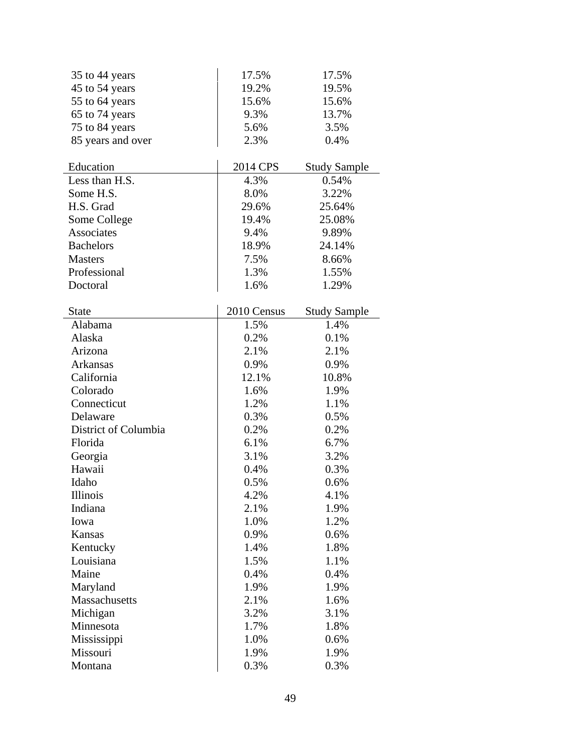| 35 to 44 years       | 17.5%       | 17.5%               |
|----------------------|-------------|---------------------|
| 45 to 54 years       | 19.2%       | 19.5%               |
| 55 to 64 years       | 15.6%       | 15.6%               |
| 65 to 74 years       | 9.3%        | 13.7%               |
| 75 to 84 years       | 5.6%        | 3.5%                |
| 85 years and over    | 2.3%        | 0.4%                |
|                      |             |                     |
| Education            | 2014 CPS    | <b>Study Sample</b> |
| Less than H.S.       | 4.3%        | 0.54%               |
| Some H.S.            | 8.0%        | 3.22%               |
| H.S. Grad            | 29.6%       | 25.64%              |
| Some College         | 19.4%       | 25.08%              |
| <b>Associates</b>    | 9.4%        | 9.89%               |
| <b>Bachelors</b>     | 18.9%       | 24.14%              |
| <b>Masters</b>       | 7.5%        | 8.66%               |
| Professional         | 1.3%        | 1.55%               |
| Doctoral             | 1.6%        | 1.29%               |
|                      |             |                     |
| <b>State</b>         | 2010 Census | <b>Study Sample</b> |
| Alabama              | 1.5%        | 1.4%                |
| Alaska               | 0.2%        | 0.1%                |
| Arizona              | 2.1%        | 2.1%                |
| Arkansas             | 0.9%        | 0.9%                |
| California           | 12.1%       | 10.8%               |
| Colorado             | 1.6%        | 1.9%                |
| Connecticut          | 1.2%        | 1.1%                |
| Delaware             | 0.3%        | 0.5%                |
| District of Columbia | 0.2%        | 0.2%                |
| Florida              | 6.1%        | 6.7%                |
| Georgia              | 3.1%        | 3.2%                |
| Hawaii               | 0.4%        | 0.3%                |
| Idaho                | 0.5%        | 0.6%                |
| Illinois             | 4.2%        | 4.1%                |
| Indiana              | 2.1%        | 1.9%                |
| Iowa                 | 1.0%        | 1.2%                |
| Kansas               | 0.9%        | 0.6%                |
| Kentucky             | 1.4%        | 1.8%                |
| Louisiana            | 1.5%        | 1.1%                |
| Maine                | 0.4%        | 0.4%                |
| Maryland             | 1.9%        | 1.9%                |
| <b>Massachusetts</b> | 2.1%        | 1.6%                |
| Michigan             | 3.2%        | 3.1%                |
| Minnesota            | 1.7%        | 1.8%                |
| Mississippi          | 1.0%        | 0.6%                |
| Missouri             | 1.9%        | 1.9%                |
| Montana              | 0.3%        | 0.3%                |
|                      |             |                     |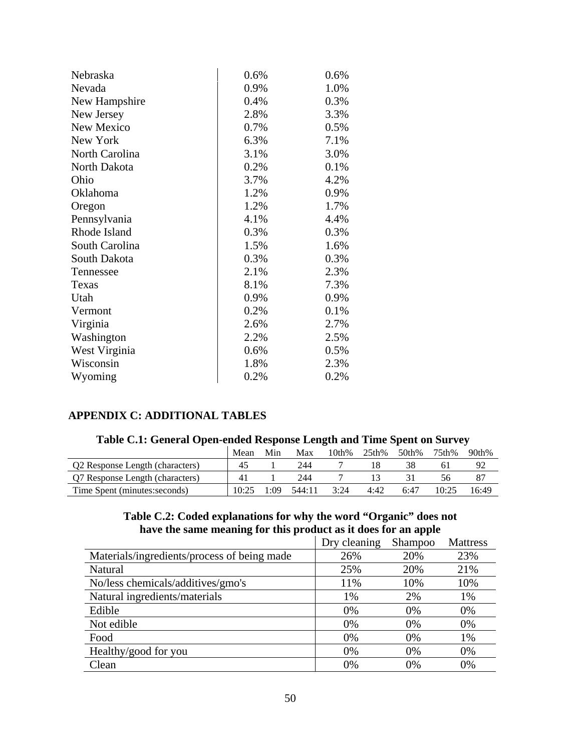| Nebraska       | 0.6% | 0.6% |
|----------------|------|------|
| Nevada         | 0.9% | 1.0% |
| New Hampshire  | 0.4% | 0.3% |
| New Jersey     | 2.8% | 3.3% |
| New Mexico     | 0.7% | 0.5% |
| New York       | 6.3% | 7.1% |
| North Carolina | 3.1% | 3.0% |
| North Dakota   | 0.2% | 0.1% |
| Ohio           | 3.7% | 4.2% |
| Oklahoma       | 1.2% | 0.9% |
| Oregon         | 1.2% | 1.7% |
| Pennsylvania   | 4.1% | 4.4% |
| Rhode Island   | 0.3% | 0.3% |
| South Carolina | 1.5% | 1.6% |
| South Dakota   | 0.3% | 0.3% |
| Tennessee      | 2.1% | 2.3% |
| Texas          | 8.1% | 7.3% |
| Utah           | 0.9% | 0.9% |
| Vermont        | 0.2% | 0.1% |
| Virginia       | 2.6% | 2.7% |
| Washington     | 2.2% | 2.5% |
| West Virginia  | 0.6% | 0.5% |
| Wisconsin      | 1.8% | 2.3% |
| Wyoming        | 0.2% | 0.2% |

# **APPENDIX C: ADDITIONAL TABLES**

| Table C.I. General Open-enged Response Length and Thile Spent on Survey |       |      |        |       |       |       |       |       |
|-------------------------------------------------------------------------|-------|------|--------|-------|-------|-------|-------|-------|
|                                                                         | Mean  | Min  | Max    | 10th% | 25th% | 50th% | 75th% | 90th% |
| Q2 Response Length (characters)                                         | 45    |      | 244    |       |       | 38    | 6 I   | 92    |
| Q7 Response Length (characters)                                         | 41    |      | 244    |       |       |       | 56.   |       |
| Time Spent (minutes: seconds)                                           | 10.25 | 1:09 | 544:11 | 3:24  | 4:42  | 6:47  | 10:25 | 16:49 |

# **Table C.1: General Open-ended Response Length and Time Spent on Survey**

#### **Table C.2: Coded explanations for why the word "Organic" does not have the same meaning for this product as it does for an apple**  Dry cleaning Shampoo Mattress

|                                             | Dry cleaning | Shampoo | Mattress |
|---------------------------------------------|--------------|---------|----------|
| Materials/ingredients/process of being made | 26%          | 20%     | 23%      |
| Natural                                     | 25%          | 20%     | 21%      |
| No/less chemicals/additives/gmo's           | 11%          | 10%     | 10%      |
| Natural ingredients/materials               | 1%           | 2%      | 1%       |
| Edible                                      | 0%           | 0%      | 0%       |
| Not edible                                  | $0\%$        | 0%      | 0%       |
| Food                                        | 0%           | 0%      | 1%       |
| Healthy/good for you                        | 0%           | 0%      | 0%       |
| Clean                                       | 0%           | 0%      | 0%       |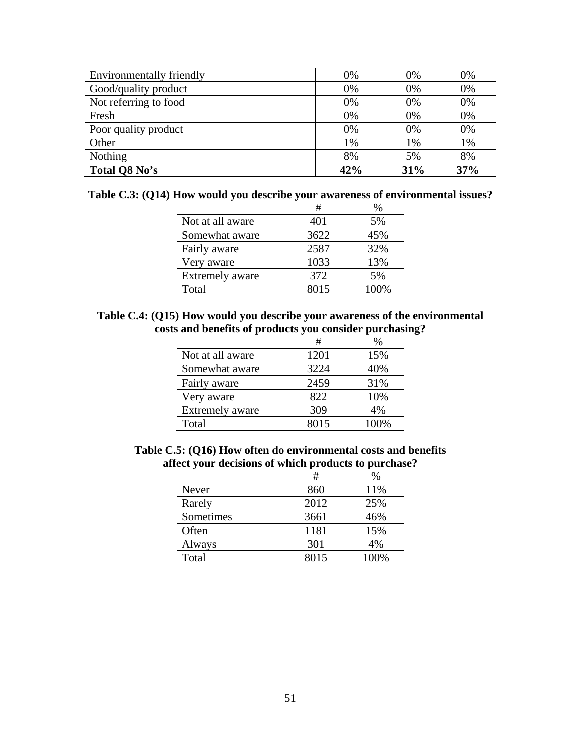| Environmentally friendly | 0%  | 0%  | 0%  |
|--------------------------|-----|-----|-----|
| Good/quality product     | 0%  | 0%  | 0%  |
| Not referring to food    | 0%  | 0%  | 0%  |
| Fresh                    | 0%  | 0%  | 0%  |
| Poor quality product     | 0%  | 0%  | 0%  |
| Other                    | 1%  | 1%  | 1%  |
| <b>Nothing</b>           | 8%  | 5%  | 8%  |
| Total Q8 No's            | 42% | 31% | 37% |

|  |  |  |  |  |  |  |  |  | Table C.3: (Q14) How would you describe your awareness of environmental issues? |  |  |  |  |
|--|--|--|--|--|--|--|--|--|---------------------------------------------------------------------------------|--|--|--|--|
|  |  |  |  |  |  |  |  |  |                                                                                 |  |  |  |  |

|                        | #    | ℅    |
|------------------------|------|------|
| Not at all aware       | 401  | 5%   |
| Somewhat aware         | 3622 | 45%  |
| Fairly aware           | 2587 | 32%  |
| Very aware             | 1033 | 13%  |
| <b>Extremely aware</b> | 372  | 5%   |
| Total                  | 8015 | 100% |

### **Table C.4: (Q15) How would you describe your awareness of the environmental costs and benefits of products you consider purchasing?**

|                        | #    | %    |
|------------------------|------|------|
| Not at all aware       | 1201 | 15%  |
| Somewhat aware         | 3224 | 40%  |
| Fairly aware           | 2459 | 31%  |
| Very aware             | 822  | 10%  |
| <b>Extremely aware</b> | 309  | 4%   |
| Total                  | 8015 | 100% |

**Table C.5: (Q16) How often do environmental costs and benefits affect your decisions of which products to purchase?**

|           | #    | $\%$ |
|-----------|------|------|
| Never     | 860  | 11%  |
| Rarely    | 2012 | 25%  |
| Sometimes | 3661 | 46%  |
| Often     | 1181 | 15%  |
| Always    | 301  | 4%   |
| Total     | 8015 | 100% |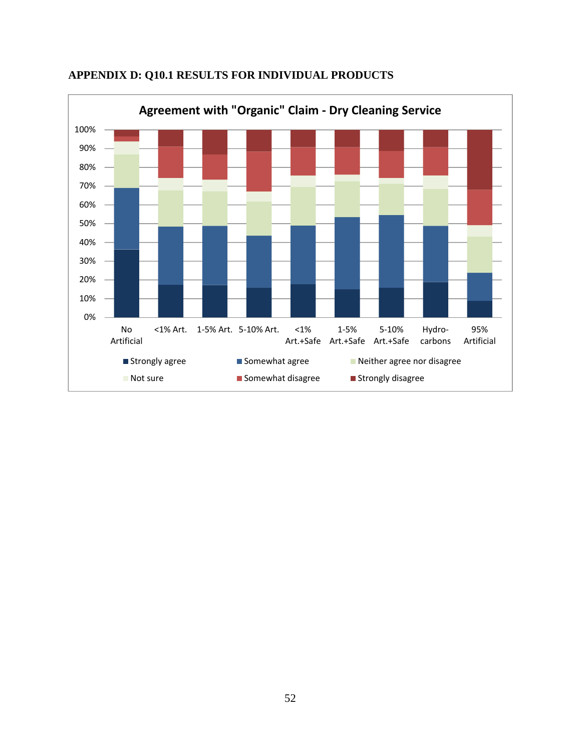

# **APPENDIX D: Q10.1 RESULTS FOR INDIVIDUAL PRODUCTS**